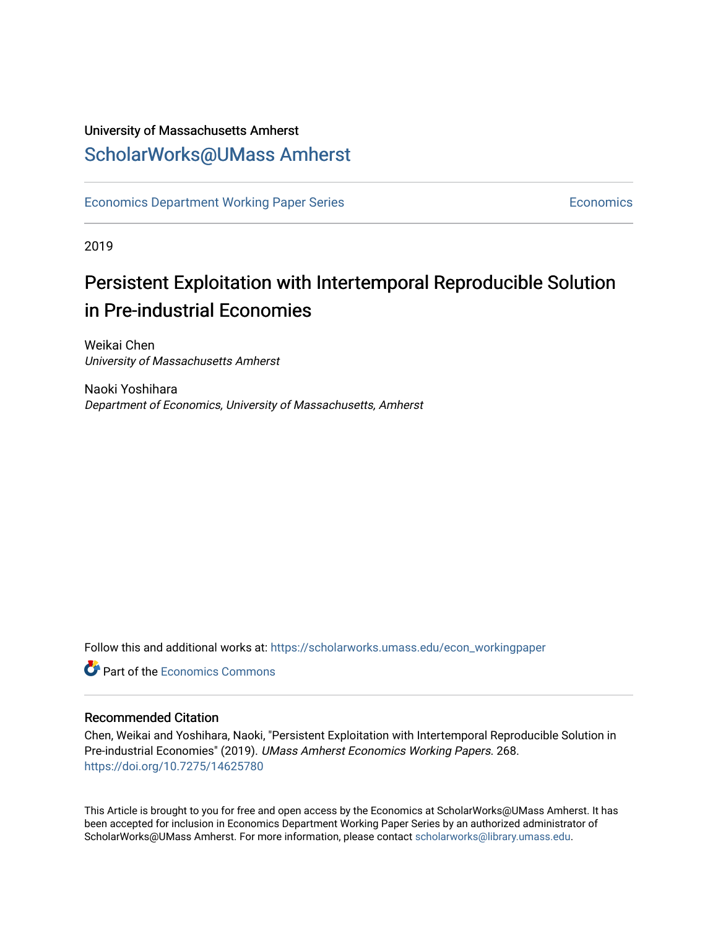# University of Massachusetts Amherst [ScholarWorks@UMass Amherst](https://scholarworks.umass.edu/)

[Economics Department Working Paper Series](https://scholarworks.umass.edu/econ_workingpaper) **Economics** [Economics](https://scholarworks.umass.edu/economics) Economics

2019

# Persistent Exploitation with Intertemporal Reproducible Solution in Pre-industrial Economies

Weikai Chen University of Massachusetts Amherst

Naoki Yoshihara Department of Economics, University of Massachusetts, Amherst

Follow this and additional works at: [https://scholarworks.umass.edu/econ\\_workingpaper](https://scholarworks.umass.edu/econ_workingpaper?utm_source=scholarworks.umass.edu%2Fecon_workingpaper%2F268&utm_medium=PDF&utm_campaign=PDFCoverPages) 

**C** Part of the [Economics Commons](http://network.bepress.com/hgg/discipline/340?utm_source=scholarworks.umass.edu%2Fecon_workingpaper%2F268&utm_medium=PDF&utm_campaign=PDFCoverPages)

### Recommended Citation

Chen, Weikai and Yoshihara, Naoki, "Persistent Exploitation with Intertemporal Reproducible Solution in Pre-industrial Economies" (2019). UMass Amherst Economics Working Papers. 268. <https://doi.org/10.7275/14625780>

This Article is brought to you for free and open access by the Economics at ScholarWorks@UMass Amherst. It has been accepted for inclusion in Economics Department Working Paper Series by an authorized administrator of ScholarWorks@UMass Amherst. For more information, please contact [scholarworks@library.umass.edu.](mailto:scholarworks@library.umass.edu)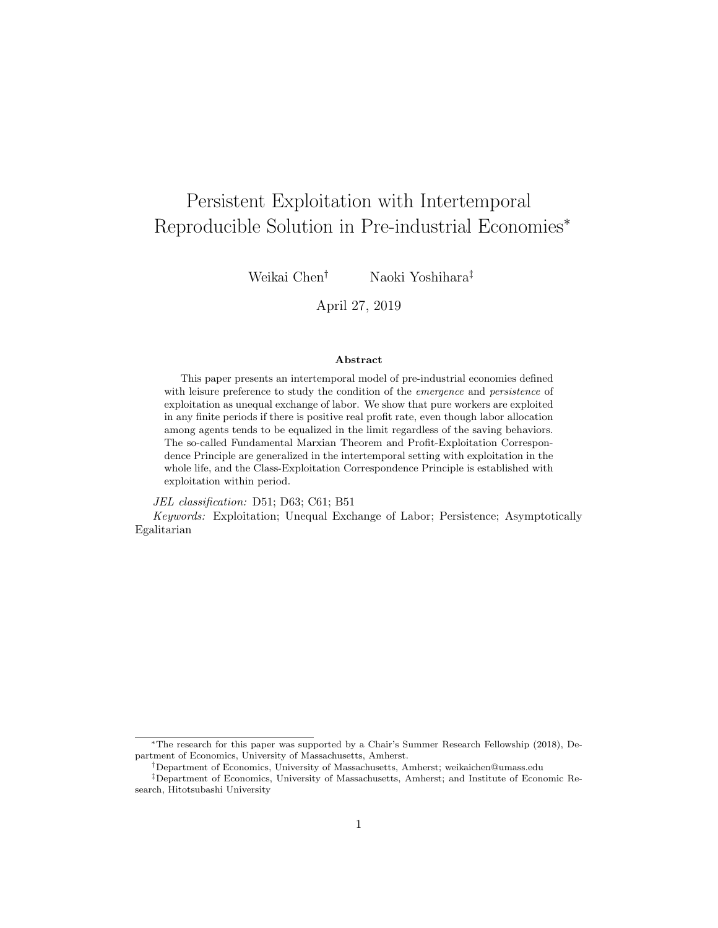# <span id="page-1-0"></span>Persistent Exploitation with Intertemporal Reproducible Solution in Pre-industrial Economies<sup>∗</sup>

Weikai Chen† Naoki Yoshihara‡

April 27, 2019

#### Abstract

This paper presents an intertemporal model of pre-industrial economies defined with leisure preference to study the condition of the emergence and persistence of exploitation as unequal exchange of labor. We show that pure workers are exploited in any finite periods if there is positive real profit rate, even though labor allocation among agents tends to be equalized in the limit regardless of the saving behaviors. The so-called Fundamental Marxian Theorem and Profit-Exploitation Correspondence Principle are generalized in the intertemporal setting with exploitation in the whole life, and the Class-Exploitation Correspondence Principle is established with exploitation within period.

JEL classification: D51; D63; C61; B51

Keywords: Exploitation; Unequal Exchange of Labor; Persistence; Asymptotically Egalitarian

<sup>∗</sup>The research for this paper was supported by a Chair's Summer Research Fellowship (2018), Department of Economics, University of Massachusetts, Amherst.

<sup>†</sup>Department of Economics, University of Massachusetts, Amherst; weikaichen@umass.edu

<sup>‡</sup>Department of Economics, University of Massachusetts, Amherst; and Institute of Economic Research, Hitotsubashi University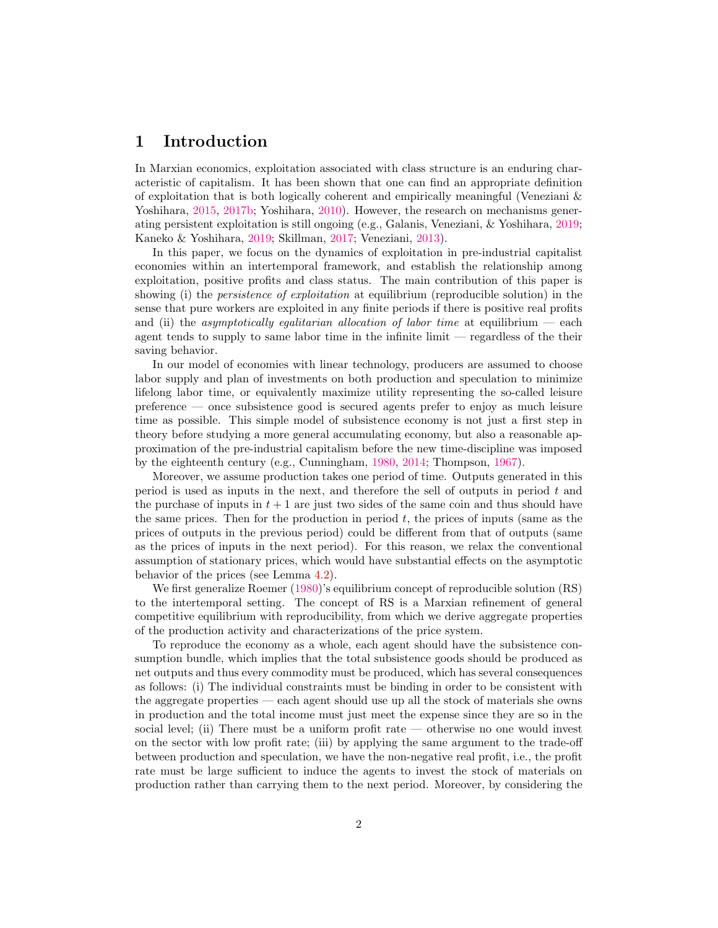## <span id="page-2-0"></span>1 Introduction

In Marxian economics, exploitation associated with class structure is an enduring characteristic of capitalism. It has been shown that one can find an appropriate definition of exploitation that is both logically coherent and empirically meaningful (Veneziani & Yoshihara, [2015,](#page-23-0) [2017b;](#page-23-1) Yoshihara, [2010\)](#page-23-2). However, the research on mechanisms generating persistent exploitation is still ongoing (e.g., Galanis, Veneziani, & Yoshihara, [2019;](#page-22-0) Kaneko & Yoshihara, [2019;](#page-22-1) Skillman, [2017;](#page-22-2) Veneziani, [2013\)](#page-23-3).

In this paper, we focus on the dynamics of exploitation in pre-industrial capitalist economies within an intertemporal framework, and establish the relationship among exploitation, positive profits and class status. The main contribution of this paper is showing (i) the *persistence of exploitation* at equilibrium (reproducible solution) in the sense that pure workers are exploited in any finite periods if there is positive real profits and (ii) the *asymptotically egalitarian allocation of labor time* at equilibrium  $-$  each agent tends to supply to same labor time in the infinite limit — regardless of the their saving behavior.

In our model of economies with linear technology, producers are assumed to choose labor supply and plan of investments on both production and speculation to minimize lifelong labor time, or equivalently maximize utility representing the so-called leisure preference — once subsistence good is secured agents prefer to enjoy as much leisure time as possible. This simple model of subsistence economy is not just a first step in theory before studying a more general accumulating economy, but also a reasonable approximation of the pre-industrial capitalism before the new time-discipline was imposed by the eighteenth century (e.g., Cunningham, [1980,](#page-22-3) [2014;](#page-22-4) Thompson, [1967\)](#page-22-5).

Moreover, we assume production takes one period of time. Outputs generated in this period is used as inputs in the next, and therefore the sell of outputs in period  $t$  and the purchase of inputs in  $t + 1$  are just two sides of the same coin and thus should have the same prices. Then for the production in period  $t$ , the prices of inputs (same as the prices of outputs in the previous period) could be different from that of outputs (same as the prices of inputs in the next period). For this reason, we relax the conventional assumption of stationary prices, which would have substantial effects on the asymptotic behavior of the prices (see Lemma [4.2\)](#page-18-0).

We first generalize Roemer [\(1980\)](#page-22-6)'s equilibrium concept of reproducible solution (RS) to the intertemporal setting. The concept of RS is a Marxian refinement of general competitive equilibrium with reproducibility, from which we derive aggregate properties of the production activity and characterizations of the price system.

To reproduce the economy as a whole, each agent should have the subsistence consumption bundle, which implies that the total subsistence goods should be produced as net outputs and thus every commodity must be produced, which has several consequences as follows: (i) The individual constraints must be binding in order to be consistent with the aggregate properties — each agent should use up all the stock of materials she owns in production and the total income must just meet the expense since they are so in the social level; (ii) There must be a uniform profit rate — otherwise no one would invest on the sector with low profit rate; (iii) by applying the same argument to the trade-off between production and speculation, we have the non-negative real profit, i.e., the profit rate must be large sufficient to induce the agents to invest the stock of materials on production rather than carrying them to the next period. Moreover, by considering the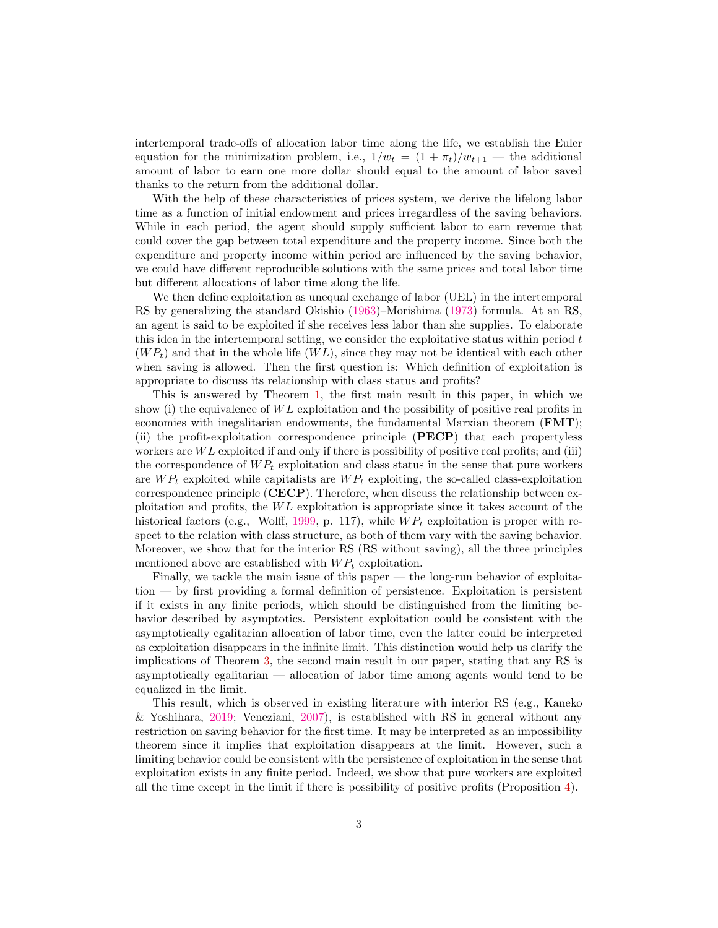intertemporal trade-offs of allocation labor time along the life, we establish the Euler equation for the minimization problem, i.e.,  $1/w_t = (1 + \pi_t)/w_{t+1}$  — the additional amount of labor to earn one more dollar should equal to the amount of labor saved thanks to the return from the additional dollar.

With the help of these characteristics of prices system, we derive the lifelong labor time as a function of initial endowment and prices irregardless of the saving behaviors. While in each period, the agent should supply sufficient labor to earn revenue that could cover the gap between total expenditure and the property income. Since both the expenditure and property income within period are influenced by the saving behavior, we could have different reproducible solutions with the same prices and total labor time but different allocations of labor time along the life.

We then define exploitation as unequal exchange of labor (UEL) in the intertemporal RS by generalizing the standard Okishio [\(1963\)](#page-22-7)–Morishima [\(1973\)](#page-22-8) formula. At an RS, an agent is said to be exploited if she receives less labor than she supplies. To elaborate this idea in the intertemporal setting, we consider the exploitative status within period t  $(W P_t)$  and that in the whole life  $(W L)$ , since they may not be identical with each other when saving is allowed. Then the first question is: Which definition of exploitation is appropriate to discuss its relationship with class status and profits?

This is answered by Theorem [1,](#page-14-0) the first main result in this paper, in which we show (i) the equivalence of  $WL$  exploitation and the possibility of positive real profits in economies with inegalitarian endowments, the fundamental Marxian theorem (FMT); (ii) the profit-exploitation correspondence principle (PECP) that each propertyless workers are  $WL$  exploited if and only if there is possibility of positive real profits; and (iii) the correspondence of  $WP_t$  exploitation and class status in the sense that pure workers are  $WP_t$  exploited while capitalists are  $WP_t$  exploiting, the so-called class-exploitation correspondence principle (CECP). Therefore, when discuss the relationship between exploitation and profits, the  $WL$  exploitation is appropriate since it takes account of the historical factors (e.g., Wolff, [1999,](#page-23-4) p. 117), while  $WP_t$  exploitation is proper with respect to the relation with class structure, as both of them vary with the saving behavior. Moreover, we show that for the interior RS (RS without saving), all the three principles mentioned above are established with  $WP_t$  exploitation.

Finally, we tackle the main issue of this paper — the long-run behavior of exploitation — by first providing a formal definition of persistence. Exploitation is persistent if it exists in any finite periods, which should be distinguished from the limiting behavior described by asymptotics. Persistent exploitation could be consistent with the asymptotically egalitarian allocation of labor time, even the latter could be interpreted as exploitation disappears in the infinite limit. This distinction would help us clarify the implications of Theorem [3,](#page-18-1) the second main result in our paper, stating that any RS is asymptotically egalitarian — allocation of labor time among agents would tend to be equalized in the limit.

This result, which is observed in existing literature with interior RS (e.g., Kaneko & Yoshihara, [2019;](#page-22-1) Veneziani, [2007\)](#page-22-9), is established with RS in general without any restriction on saving behavior for the first time. It may be interpreted as an impossibility theorem since it implies that exploitation disappears at the limit. However, such a limiting behavior could be consistent with the persistence of exploitation in the sense that exploitation exists in any finite period. Indeed, we show that pure workers are exploited all the time except in the limit if there is possibility of positive profits (Proposition [4\)](#page-20-0).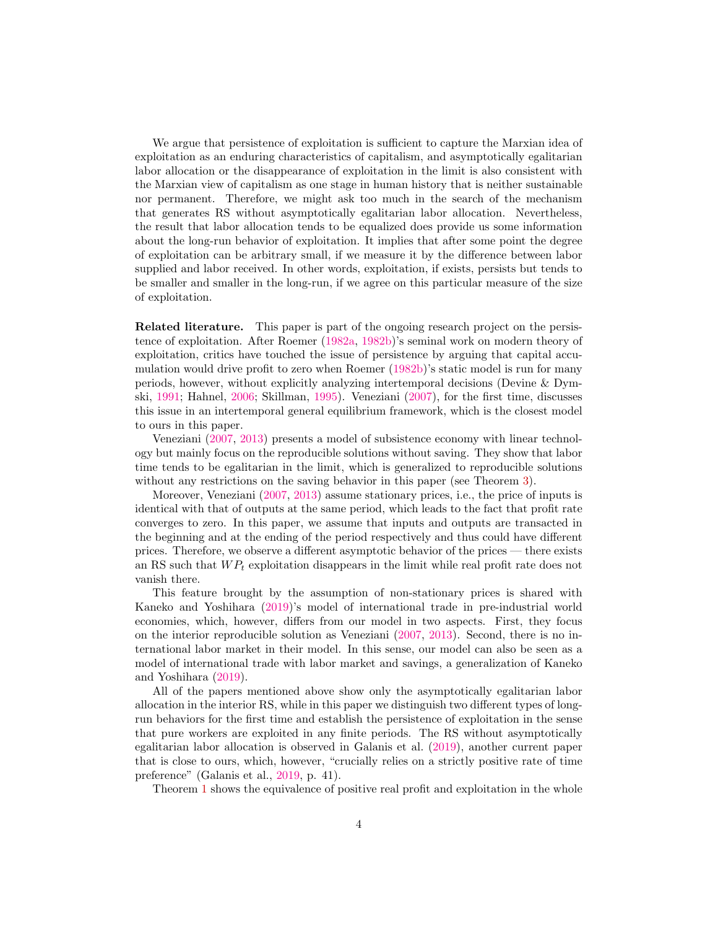We argue that persistence of exploitation is sufficient to capture the Marxian idea of exploitation as an enduring characteristics of capitalism, and asymptotically egalitarian labor allocation or the disappearance of exploitation in the limit is also consistent with the Marxian view of capitalism as one stage in human history that is neither sustainable nor permanent. Therefore, we might ask too much in the search of the mechanism that generates RS without asymptotically egalitarian labor allocation. Nevertheless, the result that labor allocation tends to be equalized does provide us some information about the long-run behavior of exploitation. It implies that after some point the degree of exploitation can be arbitrary small, if we measure it by the difference between labor supplied and labor received. In other words, exploitation, if exists, persists but tends to be smaller and smaller in the long-run, if we agree on this particular measure of the size of exploitation.

Related literature. This paper is part of the ongoing research project on the persistence of exploitation. After Roemer [\(1982a,](#page-22-10) [1982b\)](#page-22-11)'s seminal work on modern theory of exploitation, critics have touched the issue of persistence by arguing that capital accumulation would drive profit to zero when Roemer [\(1982b\)](#page-22-11)'s static model is run for many periods, however, without explicitly analyzing intertemporal decisions (Devine & Dymski, [1991;](#page-22-12) Hahnel, [2006;](#page-22-13) Skillman, [1995\)](#page-22-14). Veneziani [\(2007\)](#page-22-9), for the first time, discusses this issue in an intertemporal general equilibrium framework, which is the closest model to ours in this paper.

Veneziani [\(2007,](#page-22-9) [2013\)](#page-23-3) presents a model of subsistence economy with linear technology but mainly focus on the reproducible solutions without saving. They show that labor time tends to be egalitarian in the limit, which is generalized to reproducible solutions without any restrictions on the saving behavior in this paper (see Theorem [3\)](#page-18-1).

Moreover, Veneziani [\(2007,](#page-22-9) [2013\)](#page-23-3) assume stationary prices, i.e., the price of inputs is identical with that of outputs at the same period, which leads to the fact that profit rate converges to zero. In this paper, we assume that inputs and outputs are transacted in the beginning and at the ending of the period respectively and thus could have different prices. Therefore, we observe a different asymptotic behavior of the prices — there exists an RS such that  $WP_t$  exploitation disappears in the limit while real profit rate does not vanish there.

This feature brought by the assumption of non-stationary prices is shared with Kaneko and Yoshihara [\(2019\)](#page-22-1)'s model of international trade in pre-industrial world economies, which, however, differs from our model in two aspects. First, they focus on the interior reproducible solution as Veneziani [\(2007,](#page-22-9) [2013\)](#page-23-3). Second, there is no international labor market in their model. In this sense, our model can also be seen as a model of international trade with labor market and savings, a generalization of Kaneko and Yoshihara [\(2019\)](#page-22-1).

All of the papers mentioned above show only the asymptotically egalitarian labor allocation in the interior RS, while in this paper we distinguish two different types of longrun behaviors for the first time and establish the persistence of exploitation in the sense that pure workers are exploited in any finite periods. The RS without asymptotically egalitarian labor allocation is observed in Galanis et al. [\(2019\)](#page-22-0), another current paper that is close to ours, which, however, "crucially relies on a strictly positive rate of time preference" (Galanis et al., [2019,](#page-22-0) p. 41).

Theorem [1](#page-14-0) shows the equivalence of positive real profit and exploitation in the whole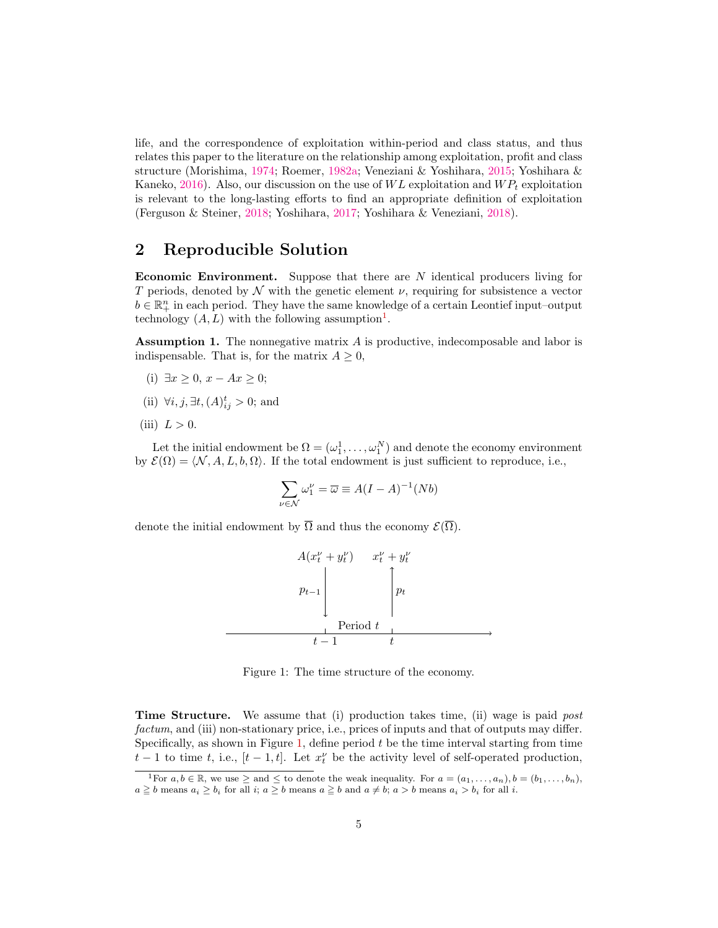life, and the correspondence of exploitation within-period and class status, and thus relates this paper to the literature on the relationship among exploitation, profit and class structure (Morishima, [1974;](#page-22-15) Roemer, [1982a;](#page-22-10) Veneziani & Yoshihara, [2015;](#page-23-0) Yoshihara & Kaneko, [2016\)](#page-23-5). Also, our discussion on the use of  $WL$  exploitation and  $WP<sub>t</sub>$  exploitation is relevant to the long-lasting efforts to find an appropriate definition of exploitation (Ferguson & Steiner, [2018;](#page-22-16) Yoshihara, [2017;](#page-23-6) Yoshihara & Veneziani, [2018\)](#page-23-7).

## 2 Reproducible Solution

**Economic Environment.** Suppose that there are  $N$  identical producers living for T periods, denoted by N with the genetic element  $\nu$ , requiring for subsistence a vector  $b \in \mathbb{R}_+^n$  in each period. They have the same knowledge of a certain Leontief input–output technology  $(A, L)$  with the following assumption<sup>[1](#page-5-0)</sup>.

<span id="page-5-2"></span>Assumption 1. The nonnegative matrix A is productive, indecomposable and labor is indispensable. That is, for the matrix  $A \geq 0$ ,

- (i) ∃ $x \ge 0$ ,  $x Ax \ge 0$ ;
- (ii)  $\forall i, j, \exists t, (A)_{ij}^t > 0$ ; and
- (iii)  $L > 0$ .

Let the initial endowment be  $\Omega = (\omega_1^1, \dots, \omega_1^N)$  and denote the economy environment by  $\mathcal{E}(\Omega) = \langle \mathcal{N}, A, L, b, \Omega \rangle$ . If the total endowment is just sufficient to reproduce, i.e.,

$$
\sum_{\nu \in \mathcal{N}} \omega_1^{\nu} = \overline{\omega} \equiv A(I - A)^{-1}(Nb)
$$

denote the initial endowment by  $\overline{\Omega}$  and thus the economy  $\mathcal{E}(\overline{\Omega})$ .



<span id="page-5-1"></span>Figure 1: The time structure of the economy.

Time Structure. We assume that (i) production takes time, (ii) wage is paid *post* factum, and (iii) non-stationary price, i.e., prices of inputs and that of outputs may differ. Specifically, as shown in Figure [1,](#page-5-1) define period  $t$  be the time interval starting from time  $t-1$  to time t, i.e.,  $[t-1, t]$ . Let  $x_t^{\nu}$  be the activity level of self-operated production,

<span id="page-5-0"></span><sup>&</sup>lt;sup>1</sup>For  $a, b \in \mathbb{R}$ , we use  $\geq$  and  $\leq$  to denote the weak inequality. For  $a = (a_1, \ldots, a_n)$ ,  $b = (b_1, \ldots, b_n)$ ,  $a \geq b$  means  $a_i \geq b_i$  for all  $i; a \geq b$  means  $a \geq b$  and  $a \neq b; a > b$  means  $a_i > b_i$  for all  $i$ .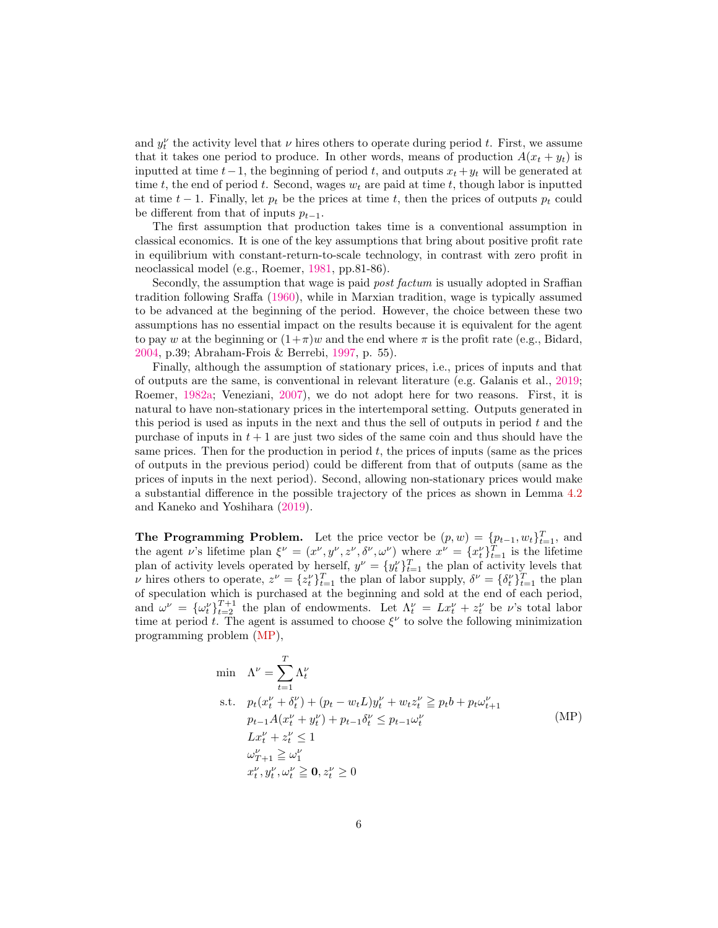and  $y_t^{\nu}$  the activity level that  $\nu$  hires others to operate during period t. First, we assume that it takes one period to produce. In other words, means of production  $A(x_t + y_t)$  is inputted at time  $t-1$ , the beginning of period t, and outputs  $x_t + y_t$  will be generated at time t, the end of period t. Second, wages  $w_t$  are paid at time t, though labor is inputted at time  $t-1$ . Finally, let  $p_t$  be the prices at time t, then the prices of outputs  $p_t$  could be different from that of inputs  $p_{t-1}$ .

The first assumption that production takes time is a conventional assumption in classical economics. It is one of the key assumptions that bring about positive profit rate in equilibrium with constant-return-to-scale technology, in contrast with zero profit in neoclassical model (e.g., Roemer, [1981,](#page-22-17) pp.81-86).

Secondly, the assumption that wage is paid post factum is usually adopted in Sraffian tradition following Sraffa [\(1960\)](#page-22-18), while in Marxian tradition, wage is typically assumed to be advanced at the beginning of the period. However, the choice between these two assumptions has no essential impact on the results because it is equivalent for the agent to pay w at the beginning or  $(1+\pi)w$  and the end where  $\pi$  is the profit rate (e.g., Bidard, [2004,](#page-22-19) p.39; Abraham-Frois & Berrebi, [1997,](#page-22-20) p. 55).

Finally, although the assumption of stationary prices, i.e., prices of inputs and that of outputs are the same, is conventional in relevant literature (e.g. Galanis et al., [2019;](#page-22-0) Roemer, [1982a;](#page-22-10) Veneziani, [2007\)](#page-22-9), we do not adopt here for two reasons. First, it is natural to have non-stationary prices in the intertemporal setting. Outputs generated in this period is used as inputs in the next and thus the sell of outputs in period  $t$  and the purchase of inputs in  $t + 1$  are just two sides of the same coin and thus should have the same prices. Then for the production in period  $t$ , the prices of inputs (same as the prices of outputs in the previous period) could be different from that of outputs (same as the prices of inputs in the next period). Second, allowing non-stationary prices would make a substantial difference in the possible trajectory of the prices as shown in Lemma [4.2](#page-18-0) and Kaneko and Yoshihara [\(2019\)](#page-22-1).

**The Programming Problem.** Let the price vector be  $(p, w) = \{p_{t-1}, w_t\}_{t=1}^T$ , and the agent v's lifetime plan  $\xi^{\nu} = (x^{\nu}, y^{\nu}, z^{\nu}, \delta^{\nu}, \omega^{\nu})$  where  $x^{\nu} = \{x^{\nu}_t\}_{t=1}^{T}$  is the lifetime plan of activity levels operated by herself,  $y^{\nu} = \{y_t^{\nu}\}_{t=1}^T$  the plan of activity levels that *ν* hires others to operate,  $z^{\nu} = \{z_t^{\nu}\}_{t=1}^T$  the plan of labor supply,  $\delta^{\nu} = \{\delta_t^{\nu}\}_{t=1}^T$  the plan of speculation which is purchased at the beginning and sold at the end of each period, and  $\omega^{\nu} = {\{\omega_t^{\nu}\}}_{t=2}^{T+1}$  the plan of endowments. Let  $\Lambda_t^{\nu} = Lx_t^{\nu} + z_t^{\nu}$  be v's total labor time at period t. The agent is assumed to choose  $\xi^{\nu}$  to solve the following minimization programming problem [\(MP\)](#page-6-0),

<span id="page-6-1"></span><span id="page-6-0"></span>
$$
\begin{aligned}\n\min \quad &\Lambda^{\nu} = \sum_{t=1}^{T} \Lambda_{t}^{\nu} \\
\text{s.t.} \quad & p_{t}(x_{t}^{\nu} + \delta_{t}^{\nu}) + (p_{t} - w_{t}L)y_{t}^{\nu} + w_{t}z_{t}^{\nu} \geq p_{t}b + p_{t}\omega_{t+1}^{\nu} \\
& p_{t-1}A(x_{t}^{\nu} + y_{t}^{\nu}) + p_{t-1}\delta_{t}^{\nu} \leq p_{t-1}\omega_{t}^{\nu} \\
& Lx_{t}^{\nu} + z_{t}^{\nu} \leq 1 \\
& \omega_{T+1}^{\nu} \geq \omega_{1}^{\nu} \\
& x_{t}^{\nu}, y_{t}^{\nu}, \omega_{t}^{\nu} \geq 0, z_{t}^{\nu} \geq 0\n\end{aligned} \tag{MP}
$$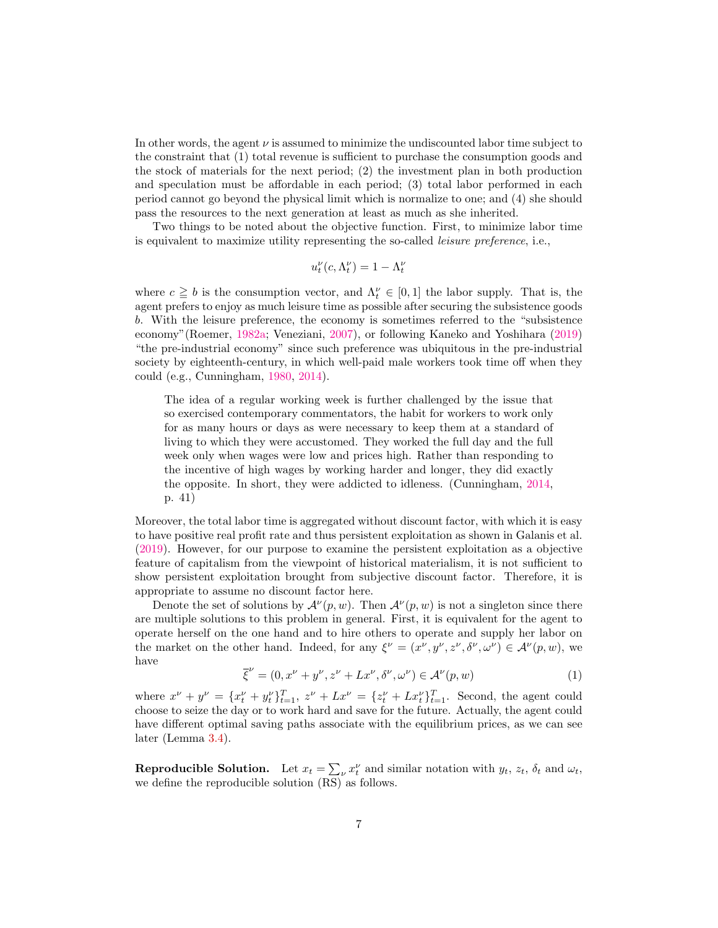In other words, the agent  $\nu$  is assumed to minimize the undiscounted labor time subject to the constraint that (1) total revenue is sufficient to purchase the consumption goods and the stock of materials for the next period; (2) the investment plan in both production and speculation must be affordable in each period; (3) total labor performed in each period cannot go beyond the physical limit which is normalize to one; and (4) she should pass the resources to the next generation at least as much as she inherited.

Two things to be noted about the objective function. First, to minimize labor time is equivalent to maximize utility representing the so-called leisure preference, i.e.,

$$
u_t^{\nu}(c,\Lambda_t^{\nu})=1-\Lambda_t^{\nu}
$$

where  $c \geq b$  is the consumption vector, and  $\Lambda_t^{\nu} \in [0,1]$  the labor supply. That is, the agent prefers to enjoy as much leisure time as possible after securing the subsistence goods b. With the leisure preference, the economy is sometimes referred to the "subsistence economy"(Roemer, [1982a;](#page-22-10) Veneziani, [2007\)](#page-22-9), or following Kaneko and Yoshihara [\(2019\)](#page-22-1) "the pre-industrial economy" since such preference was ubiquitous in the pre-industrial society by eighteenth-century, in which well-paid male workers took time off when they could (e.g., Cunningham, [1980,](#page-22-3) [2014\)](#page-22-4).

The idea of a regular working week is further challenged by the issue that so exercised contemporary commentators, the habit for workers to work only for as many hours or days as were necessary to keep them at a standard of living to which they were accustomed. They worked the full day and the full week only when wages were low and prices high. Rather than responding to the incentive of high wages by working harder and longer, they did exactly the opposite. In short, they were addicted to idleness. (Cunningham, [2014,](#page-22-4) p. 41)

Moreover, the total labor time is aggregated without discount factor, with which it is easy to have positive real profit rate and thus persistent exploitation as shown in Galanis et al. [\(2019\)](#page-22-0). However, for our purpose to examine the persistent exploitation as a objective feature of capitalism from the viewpoint of historical materialism, it is not sufficient to show persistent exploitation brought from subjective discount factor. Therefore, it is appropriate to assume no discount factor here.

Denote the set of solutions by  $\mathcal{A}^{\nu}(p,w)$ . Then  $\mathcal{A}^{\nu}(p,w)$  is not a singleton since there are multiple solutions to this problem in general. First, it is equivalent for the agent to operate herself on the one hand and to hire others to operate and supply her labor on the market on the other hand. Indeed, for any  $\xi^{\nu} = (x^{\nu}, y^{\nu}, z^{\nu}, \delta^{\nu}, \omega^{\nu}) \in \mathcal{A}^{\nu}(p, w)$ , we have

$$
\overline{\xi}^{\nu} = (0, x^{\nu} + y^{\nu}, z^{\nu} + Lx^{\nu}, \delta^{\nu}, \omega^{\nu}) \in \mathcal{A}^{\nu}(p, w)
$$
\n(1)

where  $x^{\nu} + y^{\nu} = \{x_t^{\nu} + y_t^{\nu}\}_{t=1}^T$ ,  $z^{\nu} + Lx^{\nu} = \{z_t^{\nu} + Lx_t^{\nu}\}_{t=1}^T$ . Second, the agent could choose to seize the day or to work hard and save for the future. Actually, the agent could have different optimal saving paths associate with the equilibrium prices, as we can see later (Lemma [3.4\)](#page-13-0).

**Reproducible Solution.** Let  $x_t = \sum_{\nu} x_t^{\nu}$  and similar notation with  $y_t$ ,  $z_t$ ,  $\delta_t$  and  $\omega_t$ , we define the reproducible solution (RS) as follows.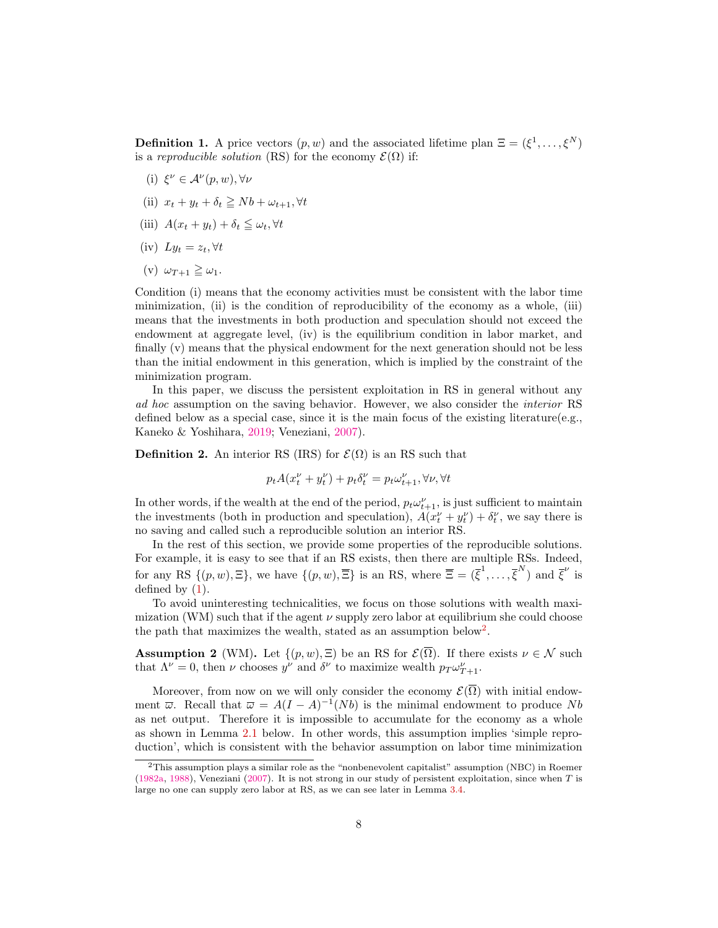<span id="page-8-1"></span>**Definition 1.** A price vectors  $(p, w)$  and the associated lifetime plan  $\Xi = (\xi^1, \ldots, \xi^N)$ is a reproducible solution (RS) for the economy  $\mathcal{E}(\Omega)$  if:

- (i)  $\xi^{\nu} \in A^{\nu}(p, w), \forall \nu$
- (ii)  $x_t + y_t + \delta_t \geq Nb + \omega_{t+1}, \forall t$
- (iii)  $A(x_t + y_t) + \delta_t \leq \omega_t, \forall t$
- (iv)  $Ly_t = z_t, \forall t$
- (v)  $\omega_{T+1} \geq \omega_1$ .

Condition (i) means that the economy activities must be consistent with the labor time minimization, (ii) is the condition of reproducibility of the economy as a whole, (iii) means that the investments in both production and speculation should not exceed the endowment at aggregate level, (iv) is the equilibrium condition in labor market, and finally (v) means that the physical endowment for the next generation should not be less than the initial endowment in this generation, which is implied by the constraint of the minimization program.

In this paper, we discuss the persistent exploitation in RS in general without any ad hoc assumption on the saving behavior. However, we also consider the interior RS defined below as a special case, since it is the main focus of the existing literature(e.g., Kaneko & Yoshihara, [2019;](#page-22-1) Veneziani, [2007\)](#page-22-9).

<span id="page-8-2"></span>**Definition 2.** An interior RS (IRS) for  $\mathcal{E}(\Omega)$  is an RS such that

$$
p_t A(x_t^{\nu} + y_t^{\nu}) + p_t \delta_t^{\nu} = p_t \omega_{t+1}^{\nu}, \forall \nu, \forall t
$$

In other words, if the wealth at the end of the period,  $p_t \omega_{t+1}^{\nu}$ , is just sufficient to maintain the investments (both in production and speculation),  $\hat{A}(x_t^{\nu} + y_t^{\nu}) + \delta_t^{\nu}$ , we say there is no saving and called such a reproducible solution an interior RS.

In the rest of this section, we provide some properties of the reproducible solutions. For example, it is easy to see that if an RS exists, then there are multiple RSs. Indeed, for any RS  $\{(p, w), \Xi\}$ , we have  $\{(p, w), \overline{\Xi}\}$  is an RS, where  $\overline{\Xi} = (\overline{\xi}^1, \ldots, \overline{\xi}^N)$  and  $\overline{\xi}^{\nu}$  is defined by [\(1\)](#page-6-1).

To avoid uninteresting technicalities, we focus on those solutions with wealth maximization (WM) such that if the agent  $\nu$  supply zero labor at equilibrium she could choose the path that maximizes the wealth, stated as an assumption below<sup>[2](#page-8-0)</sup>.

**Assumption 2** (WM). Let  $\{(p, w), \Xi\}$  be an RS for  $\mathcal{E}(\overline{\Omega})$ . If there exists  $\nu \in \mathcal{N}$  such that  $\Lambda^{\nu} = 0$ , then  $\nu$  chooses  $y^{\nu}$  and  $\delta^{\nu}$  to maximize wealth  $p_T \omega_{T+1}^{\nu}$ .

Moreover, from now on we will only consider the economy  $\mathcal{E}(\overline{\Omega})$  with initial endowment  $\overline{\omega}$ . Recall that  $\overline{\omega} = A(I - A)^{-1}(Nb)$  is the minimal endowment to produce Nb as net output. Therefore it is impossible to accumulate for the economy as a whole as shown in Lemma [2.1](#page-9-0) below. In other words, this assumption implies 'simple reproduction', which is consistent with the behavior assumption on labor time minimization

<span id="page-8-0"></span><sup>2</sup>This assumption plays a similar role as the "nonbenevolent capitalist" assumption (NBC) in Roemer [\(1982a,](#page-22-10) [1988\)](#page-22-21), Veneziani [\(2007\)](#page-22-9). It is not strong in our study of persistent exploitation, since when T is large no one can supply zero labor at RS, as we can see later in Lemma [3.4.](#page-13-0)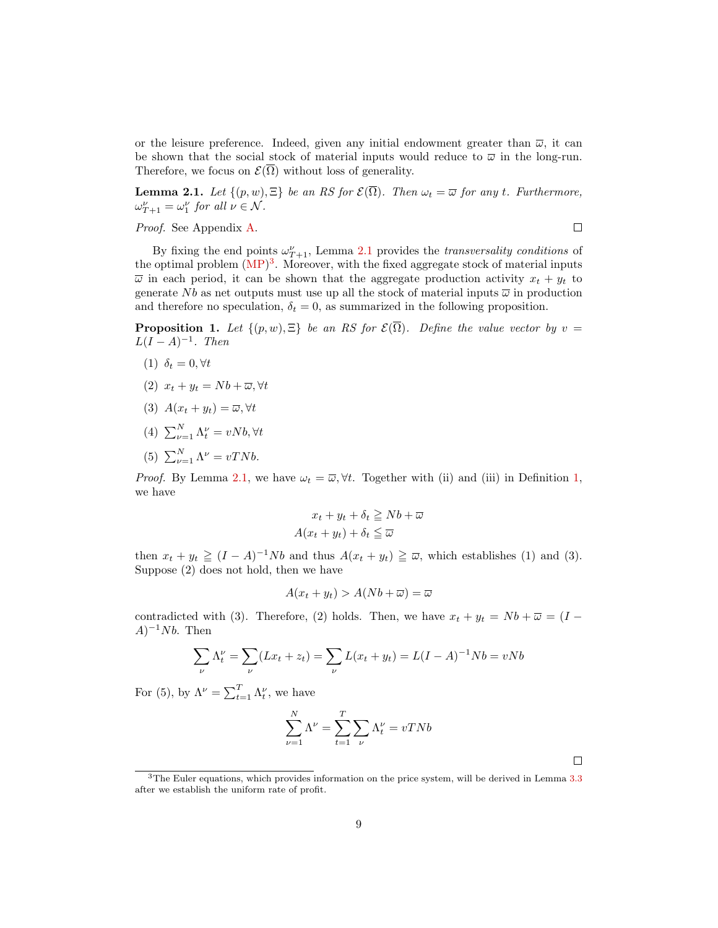or the leisure preference. Indeed, given any initial endowment greater than  $\overline{\omega}$ , it can be shown that the social stock of material inputs would reduce to  $\bar{\omega}$  in the long-run. Therefore, we focus on  $\mathcal{E}(\overline{\Omega})$  without loss of generality.

<span id="page-9-0"></span>**Lemma 2.1.** Let  $\{(p, w), \Xi\}$  be an RS for  $\mathcal{E}(\overline{\Omega})$ . Then  $\omega_t = \overline{\omega}$  for any t. Furthermore,  $\omega_{T+1}^{\nu} = \omega_1^{\nu}$  for all  $\nu \in \mathcal{N}$ .

 $\Box$ 

 $\Box$ 

Proof. See Appendix [A.](#page-23-8)

By fixing the end points  $\omega_{T+1}^{\nu}$ , Lemma [2.1](#page-9-0) provides the *transversality conditions* of the optimal problem  $(MP)^3$  $(MP)^3$  $(MP)^3$ . Moreover, with the fixed aggregate stock of material inputs  $\overline{\omega}$  in each period, it can be shown that the aggregate production activity  $x_t + y_t$  to generate Nb as net outputs must use up all the stock of material inputs  $\overline{\omega}$  in production and therefore no speculation,  $\delta_t = 0$ , as summarized in the following proposition.

<span id="page-9-2"></span>**Proposition 1.** Let  $\{(p, w), \Xi\}$  be an RS for  $\mathcal{E}(\overline{\Omega})$ . Define the value vector by  $v =$  $L(I - A)^{-1}$ . Then

- (1)  $\delta_t = 0, \forall t$
- (2)  $x_t + y_t = Nb + \overline{\omega}, \forall t$
- (3)  $A(x_t + y_t) = \overline{\omega}, \forall t$
- (4)  $\sum_{\nu=1}^{N} \Lambda_t^{\nu} = vNb, \forall t$
- (5)  $\sum_{\nu=1}^{N} \Lambda^{\nu} = vTNb.$

*Proof.* By Lemma [2.1,](#page-9-0) we have  $\omega_t = \overline{\omega}, \forall t$ . Together with (ii) and (iii) in Definition [1,](#page-8-1) we have

$$
x_t + y_t + \delta_t \ge Nb + \overline{\omega}
$$

$$
A(x_t + y_t) + \delta_t \le \overline{\omega}
$$

then  $x_t + y_t \ge (I - A)^{-1}Nb$  and thus  $A(x_t + y_t) \ge \overline{\omega}$ , which establishes (1) and (3). Suppose (2) does not hold, then we have

$$
A(x_t + y_t) > A(Nb + \overline{\omega}) = \overline{\omega}
$$

contradicted with (3). Therefore, (2) holds. Then, we have  $x_t + y_t = Nb + \overline{\omega} = (I (A)^{-1}Nb$ . Then

$$
\sum_{\nu} \Lambda_t^{\nu} = \sum_{\nu} (Lx_t + z_t) = \sum_{\nu} L(x_t + y_t) = L(I - A)^{-1}Nb = vNb
$$

For (5), by  $\Lambda^{\nu} = \sum_{t=1}^{T} \Lambda_t^{\nu}$ , we have

$$
\sum_{\nu=1}^{N} \Lambda^{\nu} = \sum_{t=1}^{T} \sum_{\nu} \Lambda_t^{\nu} = vTNb
$$

<span id="page-9-1"></span><sup>&</sup>lt;sup>3</sup>The Euler equations, which provides information on the price system, will be derived in Lemma [3.3](#page-12-0) after we establish the uniform rate of profit.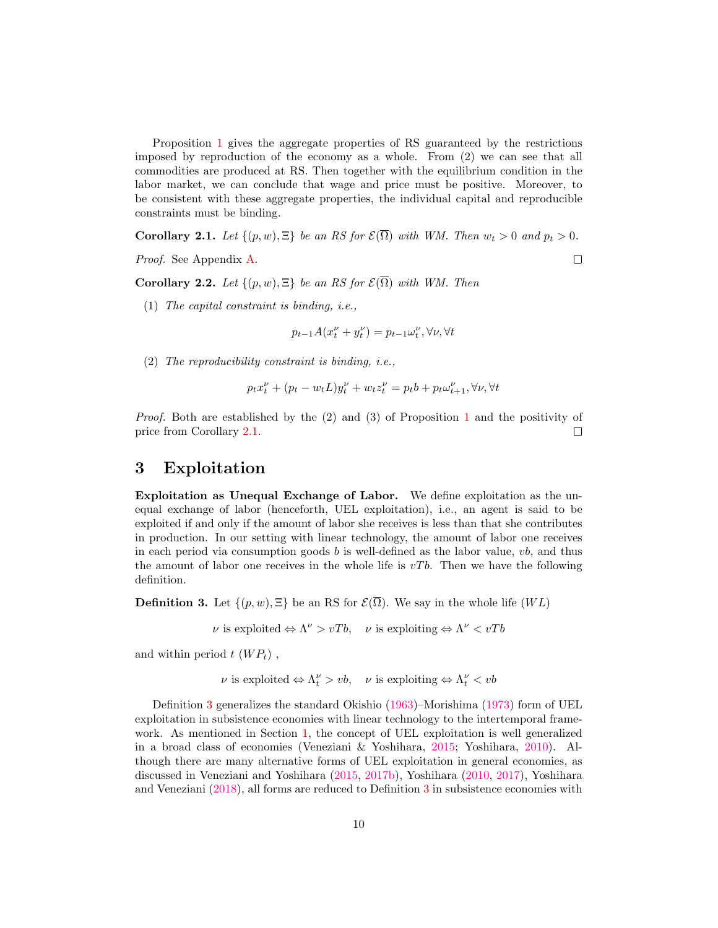Proposition [1](#page-9-2) gives the aggregate properties of RS guaranteed by the restrictions imposed by reproduction of the economy as a whole. From (2) we can see that all commodities are produced at RS. Then together with the equilibrium condition in the labor market, we can conclude that wage and price must be positive. Moreover, to be consistent with these aggregate properties, the individual capital and reproducible constraints must be binding.

<span id="page-10-0"></span>**Corollary 2.1.** Let  $\{(p, w), \Xi\}$  be an RS for  $\mathcal{E}(\overline{\Omega})$  with WM. Then  $w_t > 0$  and  $p_t > 0$ .

Proof. See Appendix [A.](#page-23-8)

<span id="page-10-2"></span>Corollary 2.2. Let  $\{(p, w), \Xi\}$  be an RS for  $\mathcal{E}(\overline{\Omega})$  with WM. Then

(1) The capital constraint is binding, i.e.,

$$
p_{t-1}A(x_t^{\nu}+y_t^{\nu})=p_{t-1}\omega_t^{\nu}, \forall \nu, \forall t
$$

 $\Box$ 

(2) The reproducibility constraint is binding, i.e.,

$$
p_t x_t^{\nu} + (p_t - w_t L) y_t^{\nu} + w_t z_t^{\nu} = p_t b + p_t \omega_{t+1}^{\nu}, \forall \nu, \forall t
$$

Proof. Both are established by the (2) and (3) of Proposition [1](#page-9-2) and the positivity of price from Corollary [2.1.](#page-10-0)  $\Box$ 

### 3 Exploitation

Exploitation as Unequal Exchange of Labor. We define exploitation as the unequal exchange of labor (henceforth, UEL exploitation), i.e., an agent is said to be exploited if and only if the amount of labor she receives is less than that she contributes in production. In our setting with linear technology, the amount of labor one receives in each period via consumption goods  $b$  is well-defined as the labor value,  $vb$ , and thus the amount of labor one receives in the whole life is  $vTb$ . Then we have the following definition.

<span id="page-10-1"></span>**Definition 3.** Let  $\{(p, w), \Xi\}$  be an RS for  $\mathcal{E}(\overline{\Omega})$ . We say in the whole life  $(WL)$ 

 $\nu$  is exploited  $\Leftrightarrow \Lambda^{\nu} > vTb$ ,  $\nu$  is exploiting  $\Leftrightarrow \Lambda^{\nu} < vTb$ 

and within period  $t$   $(W P_t)$ ,

```
\nu is exploited \Leftrightarrow \Lambda_t^{\nu} > vb, \nu is exploiting \Leftrightarrow \Lambda_t^{\nu} < vb
```
Definition [3](#page-10-1) generalizes the standard Okishio [\(1963\)](#page-22-7)–Morishima [\(1973\)](#page-22-8) form of UEL exploitation in subsistence economies with linear technology to the intertemporal framework. As mentioned in Section [1,](#page-2-0) the concept of UEL exploitation is well generalized in a broad class of economies (Veneziani & Yoshihara, [2015;](#page-23-0) Yoshihara, [2010\)](#page-23-2). Although there are many alternative forms of UEL exploitation in general economies, as discussed in Veneziani and Yoshihara [\(2015,](#page-23-0) [2017b\)](#page-23-1), Yoshihara [\(2010,](#page-23-2) [2017\)](#page-23-6), Yoshihara and Veneziani [\(2018\)](#page-23-7), all forms are reduced to Definition [3](#page-10-1) in subsistence economies with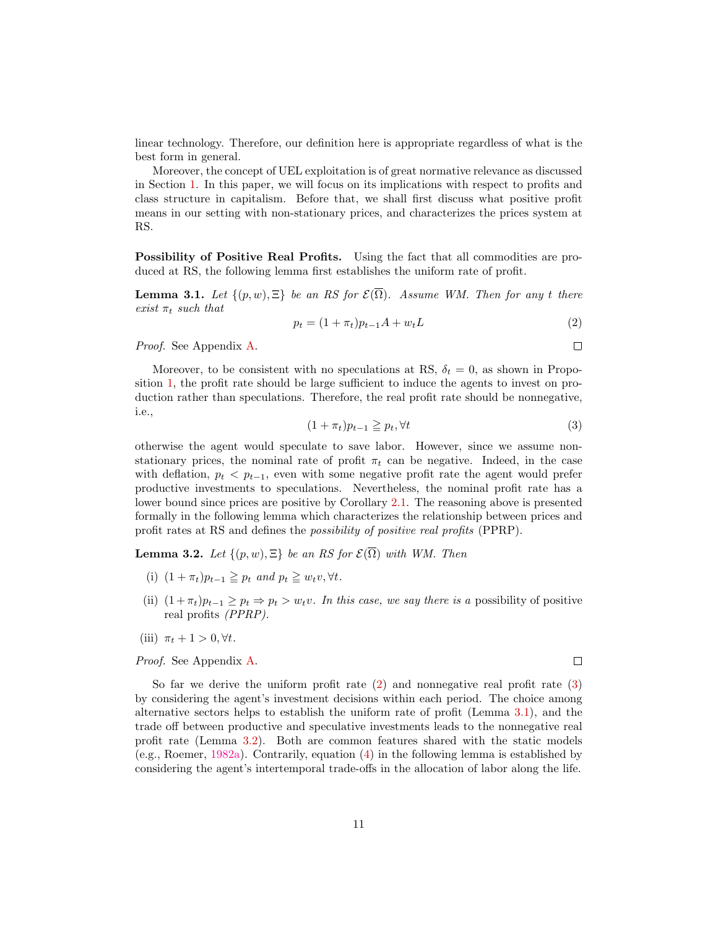linear technology. Therefore, our definition here is appropriate regardless of what is the best form in general.

Moreover, the concept of UEL exploitation is of great normative relevance as discussed in Section [1.](#page-2-0) In this paper, we will focus on its implications with respect to profits and class structure in capitalism. Before that, we shall first discuss what positive profit means in our setting with non-stationary prices, and characterizes the prices system at RS.

Possibility of Positive Real Profits. Using the fact that all commodities are produced at RS, the following lemma first establishes the uniform rate of profit.

<span id="page-11-2"></span>**Lemma 3.1.** Let  $\{(p, w), \Xi\}$  be an RS for  $\mathcal{E}(\overline{\Omega})$ . Assume WM. Then for any t there exist  $\pi_t$  such that

<span id="page-11-0"></span>
$$
p_t = (1 + \pi_t)p_{t-1}A + w_tL
$$
\n(2)

Proof. See Appendix [A.](#page-23-8)

Moreover, to be consistent with no speculations at RS,  $\delta_t = 0$ , as shown in Proposition [1,](#page-9-2) the profit rate should be large sufficient to induce the agents to invest on production rather than speculations. Therefore, the real profit rate should be nonnegative, i.e.,

<span id="page-11-1"></span>
$$
(1 + \pi_t)p_{t-1} \geqq p_t, \forall t \tag{3}
$$

otherwise the agent would speculate to save labor. However, since we assume nonstationary prices, the nominal rate of profit  $\pi_t$  can be negative. Indeed, in the case with deflation,  $p_t$  <  $p_{t-1}$ , even with some negative profit rate the agent would prefer productive investments to speculations. Nevertheless, the nominal profit rate has a lower bound since prices are positive by Corollary [2.1.](#page-10-0) The reasoning above is presented formally in the following lemma which characterizes the relationship between prices and profit rates at RS and defines the possibility of positive real profits (PPRP).

<span id="page-11-3"></span>**Lemma 3.2.** Let  $\{(p, w), \Xi\}$  be an RS for  $\mathcal{E}(\overline{\Omega})$  with WM. Then

- (i)  $(1 + \pi_t)p_{t-1} \geq p_t$  and  $p_t \geq w_tv, \forall t$ .
- (ii)  $(1 + \pi_t)p_{t-1} \geq p_t \Rightarrow p_t > w_tv$ . In this case, we say there is a possibility of positive real profits (PPRP).
- (iii)  $\pi_t + 1 > 0, \forall t$ .

Proof. See Appendix [A.](#page-23-8)

So far we derive the uniform profit rate [\(2\)](#page-11-0) and nonnegative real profit rate [\(3\)](#page-11-1) by considering the agent's investment decisions within each period. The choice among alternative sectors helps to establish the uniform rate of profit (Lemma [3.1\)](#page-11-2), and the trade off between productive and speculative investments leads to the nonnegative real profit rate (Lemma [3.2\)](#page-11-3). Both are common features shared with the static models (e.g., Roemer, [1982a\)](#page-22-10). Contrarily, equation [\(4\)](#page-12-1) in the following lemma is established by considering the agent's intertemporal trade-offs in the allocation of labor along the life.

 $\Box$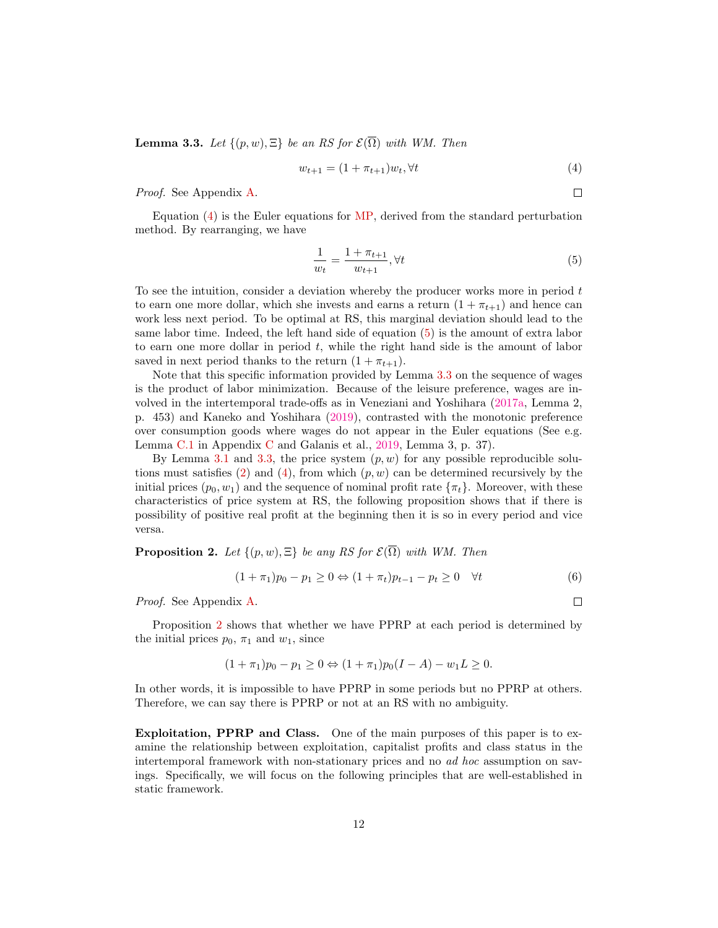<span id="page-12-0"></span>**Lemma 3.3.** Let  $\{(p, w), \Xi\}$  be an RS for  $\mathcal{E}(\overline{\Omega})$  with WM. Then

<span id="page-12-1"></span>
$$
w_{t+1} = (1 + \pi_{t+1})w_t, \forall t \tag{4}
$$

Proof. See Appendix [A.](#page-23-8)

Equation  $(4)$  is the Euler equations for [MP,](#page-6-0) derived from the standard perturbation method. By rearranging, we have

<span id="page-12-2"></span>
$$
\frac{1}{w_t} = \frac{1 + \pi_{t+1}}{w_{t+1}}, \forall t
$$
\n(5)

To see the intuition, consider a deviation whereby the producer works more in period  $t$ to earn one more dollar, which she invests and earns a return  $(1 + \pi_{t+1})$  and hence can work less next period. To be optimal at RS, this marginal deviation should lead to the same labor time. Indeed, the left hand side of equation [\(5\)](#page-12-2) is the amount of extra labor to earn one more dollar in period  $t$ , while the right hand side is the amount of labor saved in next period thanks to the return  $(1 + \pi_{t+1})$ .

Note that this specific information provided by Lemma [3.3](#page-12-0) on the sequence of wages is the product of labor minimization. Because of the leisure preference, wages are involved in the intertemporal trade-offs as in Veneziani and Yoshihara [\(2017a,](#page-23-9) Lemma 2, p. 453) and Kaneko and Yoshihara [\(2019\)](#page-22-1), contrasted with the monotonic preference over consumption goods where wages do not appear in the Euler equations (See e.g. Lemma [C.1](#page-29-0) in Appendix [C](#page-28-0) and Galanis et al., [2019,](#page-22-0) Lemma 3, p. 37).

By Lemma [3.1](#page-11-2) and [3.3,](#page-12-0) the price system  $(p, w)$  for any possible reproducible solu-tions must satisfies [\(2\)](#page-11-0) and [\(4\)](#page-12-1), from which  $(p, w)$  can be determined recursively by the initial prices  $(p_0, w_1)$  and the sequence of nominal profit rate  $\{\pi_t\}$ . Moreover, with these characteristics of price system at RS, the following proposition shows that if there is possibility of positive real profit at the beginning then it is so in every period and vice versa.

<span id="page-12-3"></span>**Proposition 2.** Let  $\{(p, w), \Xi\}$  be any RS for  $\mathcal{E}(\overline{\Omega})$  with WM. Then

<span id="page-12-4"></span>
$$
(1 + \pi_1)p_0 - p_1 \ge 0 \Leftrightarrow (1 + \pi_t)p_{t-1} - p_t \ge 0 \quad \forall t
$$
 (6)

Proof. See Appendix [A.](#page-23-8)

Proposition [2](#page-12-3) shows that whether we have PPRP at each period is determined by the initial prices  $p_0$ ,  $\pi_1$  and  $w_1$ , since

$$
(1 + \pi_1)p_0 - p_1 \ge 0 \Leftrightarrow (1 + \pi_1)p_0(I - A) - w_1 L \ge 0.
$$

In other words, it is impossible to have PPRP in some periods but no PPRP at others. Therefore, we can say there is PPRP or not at an RS with no ambiguity.

Exploitation, PPRP and Class. One of the main purposes of this paper is to examine the relationship between exploitation, capitalist profits and class status in the intertemporal framework with non-stationary prices and no ad hoc assumption on savings. Specifically, we will focus on the following principles that are well-established in static framework.

 $\Box$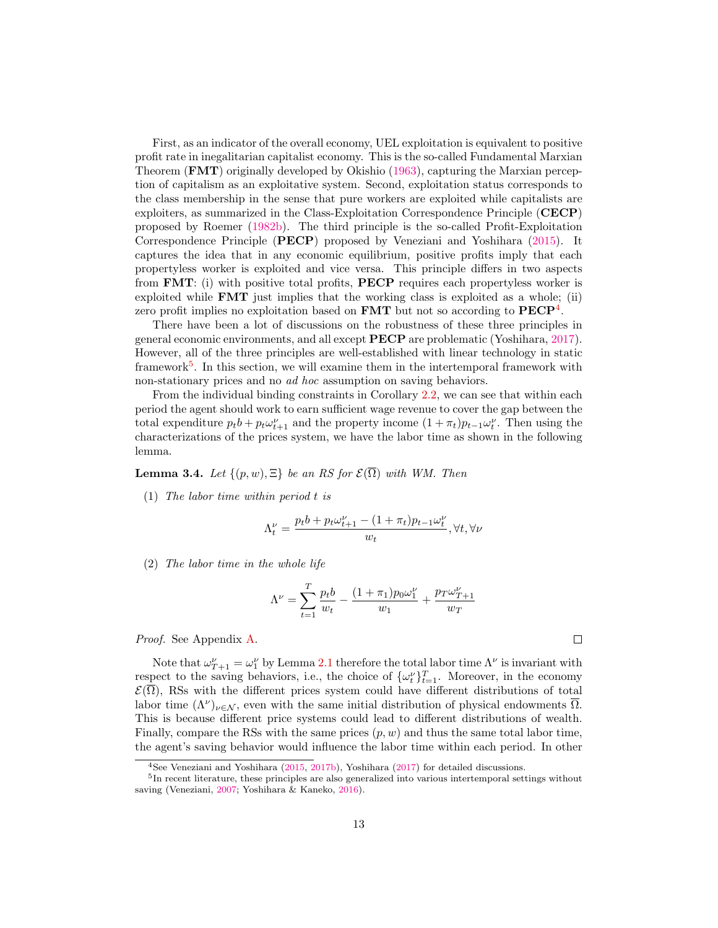First, as an indicator of the overall economy, UEL exploitation is equivalent to positive profit rate in inegalitarian capitalist economy. This is the so-called Fundamental Marxian Theorem (FMT) originally developed by Okishio [\(1963\)](#page-22-7), capturing the Marxian perception of capitalism as an exploitative system. Second, exploitation status corresponds to the class membership in the sense that pure workers are exploited while capitalists are exploiters, as summarized in the Class-Exploitation Correspondence Principle (CECP) proposed by Roemer [\(1982b\)](#page-22-11). The third principle is the so-called Profit-Exploitation Correspondence Principle (PECP) proposed by Veneziani and Yoshihara [\(2015\)](#page-23-0). It captures the idea that in any economic equilibrium, positive profits imply that each propertyless worker is exploited and vice versa. This principle differs in two aspects from FMT: (i) with positive total profits, PECP requires each propertyless worker is exploited while FMT just implies that the working class is exploited as a whole; (ii) zero profit implies no exploitation based on **FMT** but not so according to  $PECP<sup>4</sup>$  $PECP<sup>4</sup>$  $PECP<sup>4</sup>$ .

There have been a lot of discussions on the robustness of these three principles in general economic environments, and all except PECP are problematic (Yoshihara, [2017\)](#page-23-6). However, all of the three principles are well-established with linear technology in static framework<sup>[5](#page-13-2)</sup>. In this section, we will examine them in the intertemporal framework with non-stationary prices and no ad hoc assumption on saving behaviors.

From the individual binding constraints in Corollary [2.2,](#page-10-2) we can see that within each period the agent should work to earn sufficient wage revenue to cover the gap between the total expenditure  $p_t b + p_t \omega_{t+1}^{\nu}$  and the property income  $(1 + \pi_t) p_{t-1} \omega_t^{\nu}$ . Then using the characterizations of the prices system, we have the labor time as shown in the following lemma.

<span id="page-13-0"></span>**Lemma 3.4.** Let  $\{(p, w), \Xi\}$  be an RS for  $\mathcal{E}(\overline{\Omega})$  with WM. Then

(1) The labor time within period t is

$$
\Lambda_t^{\nu}=\frac{p_tb+p_t\omega_{t+1}^{\nu}-(1+\pi_t)p_{t-1}\omega_t^{\nu}}{w_t},\forall t,\forall \nu
$$

(2) The labor time in the whole life

$$
\Lambda^{\nu} = \sum_{t=1}^{T} \frac{p_t b}{w_t} - \frac{(1+\pi_1) p_0 \omega_1^{\nu}}{w_1} + \frac{p_T \omega_{T+1}^{\nu}}{w_T}
$$

Proof. See Appendix [A.](#page-23-8)

Note that  $\omega_{T+1}^{\nu} = \omega_1^{\nu}$  by Lemma [2.1](#page-9-0) therefore the total labor time  $\Lambda^{\nu}$  is invariant with respect to the saving behaviors, i.e., the choice of  $\{\omega_t^{\nu}\}_{t=1}^T$ . Moreover, in the economy  $\mathcal{E}(\overline{\Omega})$ , RSs with the different prices system could have different distributions of total labor time  $(\Lambda^{\nu})_{\nu \in \mathcal{N}}$ , even with the same initial distribution of physical endowments  $\overline{\Omega}$ . This is because different price systems could lead to different distributions of wealth. Finally, compare the RSs with the same prices  $(p, w)$  and thus the same total labor time, the agent's saving behavior would influence the labor time within each period. In other

<span id="page-13-2"></span><span id="page-13-1"></span><sup>4</sup>See Veneziani and Yoshihara [\(2015,](#page-23-0) [2017b\)](#page-23-1), Yoshihara [\(2017\)](#page-23-6) for detailed discussions.

<sup>&</sup>lt;sup>5</sup>In recent literature, these principles are also generalized into various intertemporal settings without saving (Veneziani, [2007;](#page-22-9) Yoshihara & Kaneko, [2016\)](#page-23-5).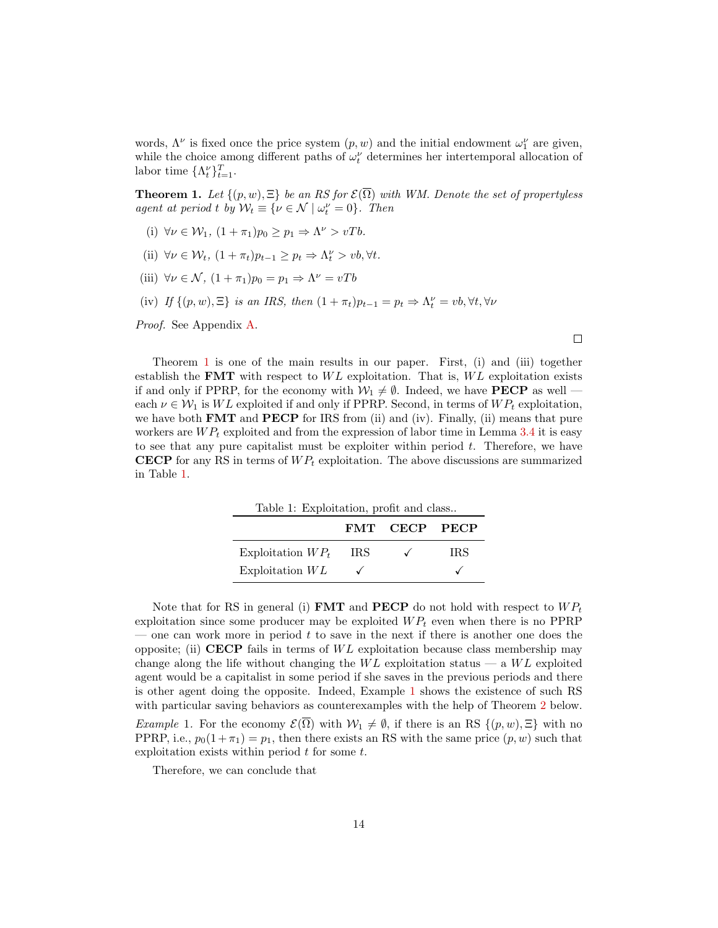words,  $\Lambda^{\nu}$  is fixed once the price system  $(p, w)$  and the initial endowment  $\omega_1^{\nu}$  are given, while the choice among different paths of  $\omega_t^{\nu}$  determines her intertemporal allocation of labor time  $\{\Lambda_t^{\nu}\}_{t=1}^T$ .

<span id="page-14-0"></span>**Theorem 1.** Let  $\{(p, w), \Xi\}$  be an RS for  $\mathcal{E}(\overline{\Omega})$  with WM. Denote the set of propertyless agent at period t by  $\mathcal{W}_t \equiv \{ \nu \in \mathcal{N} \mid \omega_t^{\nu} = 0 \}.$  Then

- (i)  $\forall \nu \in \mathcal{W}_1$ ,  $(1 + \pi_1)p_0 \geq p_1 \Rightarrow \Lambda^{\nu} > vTb$ .
- (ii)  $\forall \nu \in \mathcal{W}_t$ ,  $(1 + \pi_t)p_{t-1} \geq p_t \Rightarrow \Lambda_t^{\nu} > vb, \forall t$ .
- (iii)  $\forall \nu \in \mathcal{N}, (1 + \pi_1)p_0 = p_1 \Rightarrow \Lambda^{\nu} = vTb$
- (iv) If  $\{(p, w), \Xi\}$  is an IRS, then  $(1 + \pi_t)p_{t-1} = p_t \Rightarrow \Lambda_t^{\nu} = vb, \forall t, \forall \nu$

Proof. See Appendix [A.](#page-23-8)

Theorem [1](#page-14-0) is one of the main results in our paper. First, (i) and (iii) together establish the **FMT** with respect to  $WL$  exploitation. That is,  $WL$  exploitation exists if and only if PPRP, for the economy with  $\mathcal{W}_1 \neq \emptyset$ . Indeed, we have **PECP** as well each  $\nu \in \mathcal{W}_1$  is WL exploited if and only if PPRP. Second, in terms of  $WP_t$  exploitation, we have both **FMT** and **PECP** for IRS from (ii) and (iv). Finally, (ii) means that pure workers are  $WP_t$  exploited and from the expression of labor time in Lemma [3.4](#page-13-0) it is easy to see that any pure capitalist must be exploiter within period  $t$ . Therefore, we have **CECP** for any RS in terms of  $WP_t$  exploitation. The above discussions are summarized in Table [1.](#page-14-1)

 $\Box$ 

<span id="page-14-1"></span>

|                     | Table 1: Exploitation, profit and class |               |      |  |  |
|---------------------|-----------------------------------------|---------------|------|--|--|
|                     |                                         | FMT CECP PECP |      |  |  |
| Exploitation $WP_t$ | IRS.                                    | $\checkmark$  | IRS. |  |  |
| Exploitation $WL$   |                                         |               |      |  |  |

Note that for RS in general (i) **FMT** and **PECP** do not hold with respect to  $WP_t$ exploitation since some producer may be exploited  $WP<sub>t</sub>$  even when there is no PPRP — one can work more in period  $t$  to save in the next if there is another one does the opposite; (ii) CECP fails in terms of  $WL$  exploitation because class membership may change along the life without changing the  $WL$  exploitation status — a  $WL$  exploited agent would be a capitalist in some period if she saves in the previous periods and there is other agent doing the opposite. Indeed, Example [1](#page-14-2) shows the existence of such RS with particular saving behaviors as counterexamples with the help of Theorem [2](#page-15-0) below. Example 1. For the economy  $\mathcal{E}(\overline{\Omega})$  with  $\mathcal{W}_1 \neq \emptyset$ , if there is an RS  $\{(p, w), \Xi\}$  with no

<span id="page-14-2"></span>PPRP, i.e.,  $p_0(1 + \pi_1) = p_1$ , then there exists an RS with the same price  $(p, w)$  such that exploitation exists within period  $t$  for some  $t$ .

Therefore, we can conclude that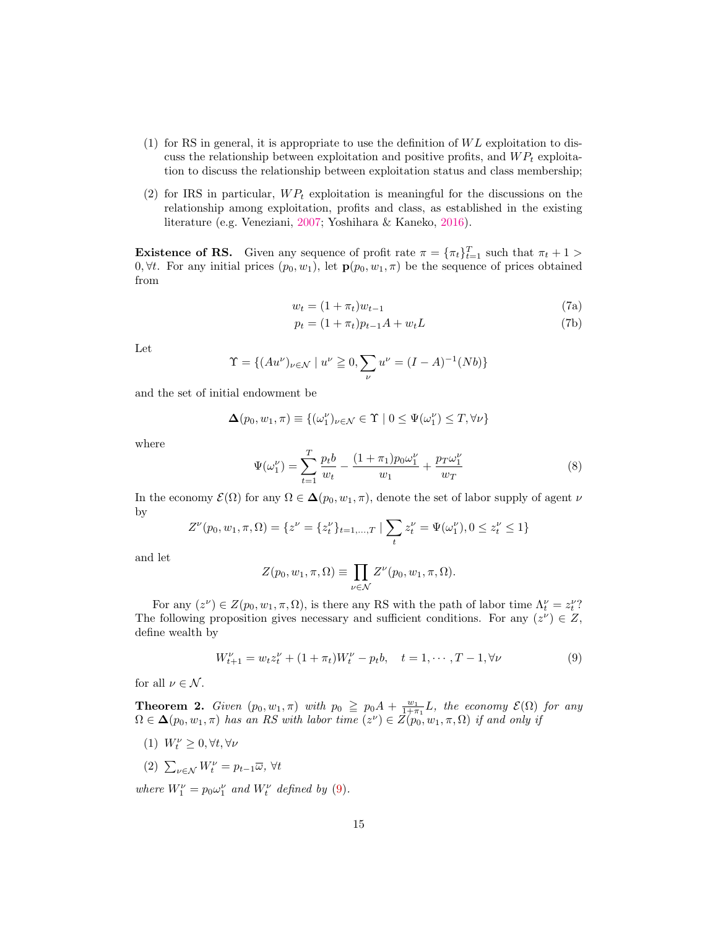- (1) for RS in general, it is appropriate to use the definition of  $WL$  exploitation to discuss the relationship between exploitation and positive profits, and  $WP<sub>t</sub>$  exploitation to discuss the relationship between exploitation status and class membership;
- (2) for IRS in particular,  $WP_t$  exploitation is meaningful for the discussions on the relationship among exploitation, profits and class, as established in the existing literature (e.g. Veneziani, [2007;](#page-22-9) Yoshihara & Kaneko, [2016\)](#page-23-5).

**Existence of RS.** Given any sequence of profit rate  $\pi = {\pi_t}_{t=1}^T$  such that  $\pi_t + 1 >$ 0,  $\forall t$ . For any initial prices  $(p_0, w_1)$ , let  $\mathbf{p}(p_0, w_1, \pi)$  be the sequence of prices obtained from

$$
w_t = (1 + \pi_t)w_{t-1} \tag{7a}
$$

$$
p_t = (1 + \pi_t)p_{t-1}A + w_tL
$$
\n(7b)

Let

$$
\Upsilon = \{ (Au^{\nu})_{\nu \in \mathcal{N}} \mid u^{\nu} \ge 0, \sum_{\nu} u^{\nu} = (I - A)^{-1}(Nb) \}
$$

and the set of initial endowment be

$$
\boldsymbol{\Delta}(p_0, w_1, \pi) \equiv \{(\omega_1^{\nu})_{\nu \in \mathcal{N}} \in \Upsilon \mid 0 \leq \Psi(\omega_1^{\nu}) \leq T, \forall \nu\}
$$

where

<span id="page-15-2"></span>
$$
\Psi(\omega_1^{\nu}) = \sum_{t=1}^{T} \frac{p_t b}{w_t} - \frac{(1+\pi_1)p_0 \omega_1^{\nu}}{w_1} + \frac{p_T \omega_1^{\nu}}{w_T}
$$
\n(8)

In the economy  $\mathcal{E}(\Omega)$  for any  $\Omega \in \Delta(p_0, w_1, \pi)$ , denote the set of labor supply of agent  $\nu$ by

$$
Z^{\nu}(p_0,w_1,\pi,\Omega)=\{z^{\nu}=\{z^{\nu}_t\}_{t=1,...,T} \mid \sum_t z^{\nu}_t=\Psi(\omega^{\nu}_1), 0 \leq z^{\nu}_t \leq 1\}
$$

and let

$$
Z(p_0, w_1, \pi, \Omega) \equiv \prod_{\nu \in \mathcal{N}} Z^{\nu}(p_0, w_1, \pi, \Omega).
$$

For any  $(z^{\nu}) \in Z(p_0, w_1, \pi, \Omega)$ , is there any RS with the path of labor time  $\Lambda_t^{\nu} = z_t^{\nu}$ ? The following proposition gives necessary and sufficient conditions. For any  $(z^{\nu}) \in Z$ , define wealth by

<span id="page-15-1"></span>
$$
W_{t+1}^{\nu} = w_t z_t^{\nu} + (1 + \pi_t) W_t^{\nu} - p_t b, \quad t = 1, \cdots, T - 1, \forall \nu
$$
 (9)

for all  $\nu \in \mathcal{N}$ .

<span id="page-15-0"></span>**Theorem 2.** Given  $(p_0, w_1, \pi)$  with  $p_0 \geq p_0 A + \frac{w_1}{1+\pi_1}L$ , the economy  $\mathcal{E}(\Omega)$  for any  $\Omega \in \Delta(p_0, w_1, \pi)$  has an RS with labor time  $(z^{\nu}) \in \overline{Z(p_0, w_1, \pi, \Omega)}$  if and only if

- (1)  $W_t^{\nu} \geq 0, \forall t, \forall \nu$
- (2)  $\sum_{\nu \in \mathcal{N}} W_t^{\nu} = p_{t-1} \overline{\omega}, \forall t$

where  $W_1^{\nu} = p_0 \omega_1^{\nu}$  and  $W_t^{\nu}$  defined by [\(9\)](#page-15-1).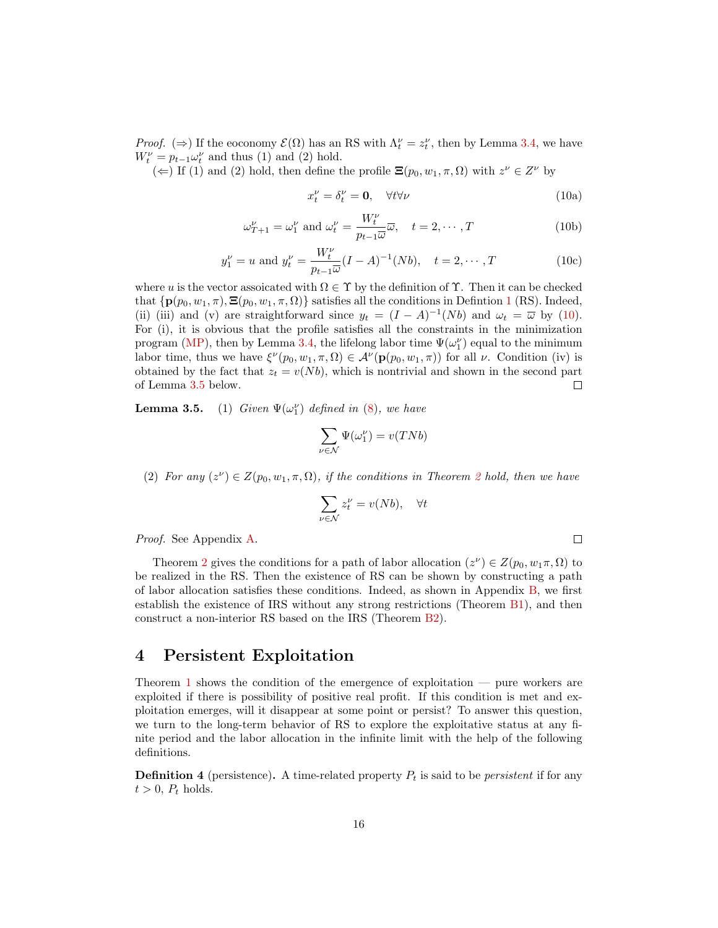*Proof.* ( $\Rightarrow$ ) If the eoconomy  $\mathcal{E}(\Omega)$  has an RS with  $\Lambda_t^{\nu} = z_t^{\nu}$ , then by Lemma [3.4,](#page-13-0) we have  $W_t^{\nu} = p_{t-1} \omega_t^{\nu}$  and thus (1) and (2) hold.

(←) If (1) and (2) hold, then define the profile  $\Xi(p_0, w_1, \pi, \Omega)$  with  $z^{\nu} \in Z^{\nu}$  by

<span id="page-16-0"></span>
$$
x_t^{\nu} = \delta_t^{\nu} = \mathbf{0}, \quad \forall t \forall \nu \tag{10a}
$$

 $\Box$ 

$$
\omega_{T+1}^{\nu} = \omega_1^{\nu} \text{ and } \omega_t^{\nu} = \frac{W_t^{\nu}}{p_{t-1}\overline{\omega}}\overline{\omega}, \quad t = 2, \cdots, T
$$
 (10b)

$$
y_1^{\nu} = u
$$
 and  $y_t^{\nu} = \frac{W_t^{\nu}}{p_{t-1}\overline{\omega}}(I-A)^{-1}(Nb)$ ,  $t = 2, \dots, T$  (10c)

where u is the vector assoicated with  $\Omega \in \Upsilon$  by the definition of  $\Upsilon$ . Then it can be checked that  $\{ \mathbf{p}(p_0, w_1, \pi), \Xi(p_0, w_1, \pi, \Omega) \}$  $\{ \mathbf{p}(p_0, w_1, \pi), \Xi(p_0, w_1, \pi, \Omega) \}$  $\{ \mathbf{p}(p_0, w_1, \pi), \Xi(p_0, w_1, \pi, \Omega) \}$  satisfies all the conditions in Defintion 1 (RS). Indeed, (ii) (iii) and (v) are straightforward since  $y_t = (I - A)^{-1}(Nb)$  and  $\omega_t = \overline{\omega}$  by [\(10\)](#page-16-0). For (i), it is obvious that the profile satisfies all the constraints in the minimization program [\(MP\)](#page-6-0), then by Lemma [3.4,](#page-13-0) the lifelong labor time  $\Psi(\omega_1^{\nu})$  equal to the minimum labor time, thus we have  $\xi^{\nu}(p_0, w_1, \pi, \Omega) \in \mathcal{A}^{\nu}(\mathbf{p}(p_0, w_1, \pi))$  for all  $\nu$ . Condition (iv) is obtained by the fact that  $z_t = v(Nb)$ , which is nontrivial and shown in the second part of Lemma [3.5](#page-1-0) below. П

**Lemma 3.5.** (1) Given  $\Psi(\omega_1^{\nu})$  defined in [\(8\)](#page-15-2), we have

$$
\sum_{\nu \in \mathcal{N}} \Psi(\omega_1^{\nu}) = v(TNb)
$$

([2](#page-15-0)) For any  $(z^{\nu}) \in Z(p_0, w_1, \pi, \Omega)$ , if the conditions in Theorem 2 hold, then we have

$$
\sum_{\nu \in \mathcal{N}} z_t^{\nu} = v(Nb), \quad \forall t
$$

Proof. See Appendix [A.](#page-23-8)

Theorem [2](#page-15-0) gives the conditions for a path of labor allocation  $(z^{\nu}) \in Z(p_0, w_1 \pi, \Omega)$  to be realized in the RS. Then the existence of RS can be shown by constructing a path of labor allocation satisfies these conditions. Indeed, as shown in Appendix [B,](#page-26-0) we first establish the existence of IRS without any strong restrictions (Theorem [B1\)](#page-26-1), and then construct a non-interior RS based on the IRS (Theorem [B2\)](#page-27-0).

### 4 Persistent Exploitation

Theorem [1](#page-14-0) shows the condition of the emergence of exploitation — pure workers are exploited if there is possibility of positive real profit. If this condition is met and exploitation emerges, will it disappear at some point or persist? To answer this question, we turn to the long-term behavior of RS to explore the exploitative status at any finite period and the labor allocation in the infinite limit with the help of the following definitions.

**Definition 4** (persistence). A time-related property  $P_t$  is said to be *persistent* if for any  $t > 0$ ,  $P_t$  holds.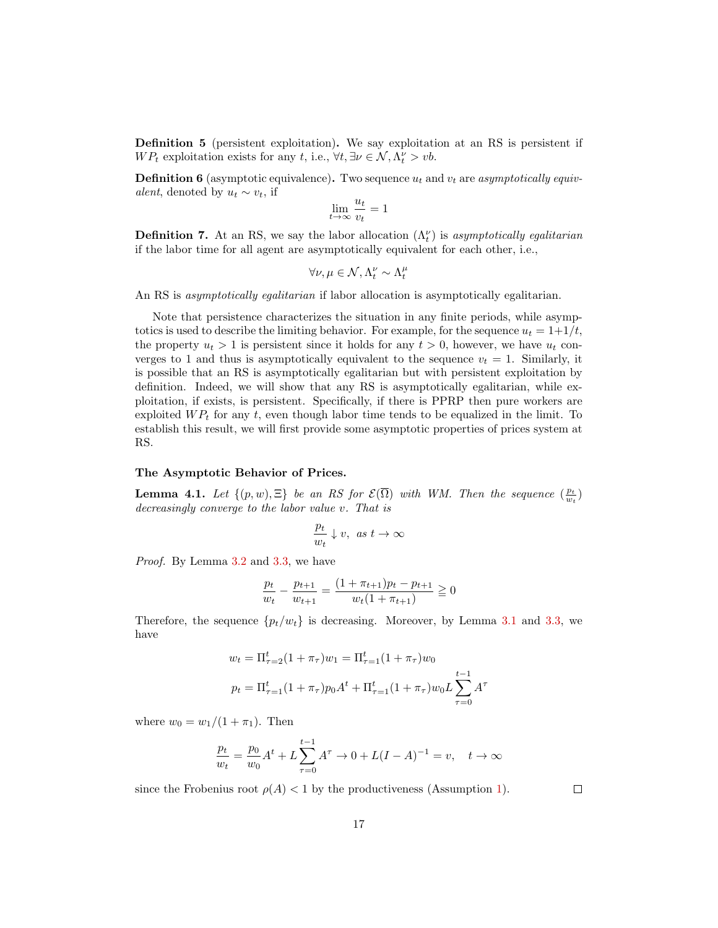Definition 5 (persistent exploitation). We say exploitation at an RS is persistent if  $WP_t$  exploitation exists for any t, i.e.,  $\forall t, \exists \nu \in \mathcal{N}, \Lambda_t^{\nu} > \nu b$ .

**Definition 6** (asymptotic equivalence). Two sequence  $u_t$  and  $v_t$  are asymptotically equivalent, denoted by  $u_t \sim v_t$ , if

$$
\lim_{t \to \infty} \frac{u_t}{v_t} = 1
$$

**Definition 7.** At an RS, we say the labor allocation  $(\Lambda_t^{\nu})$  is asymptotically egalitarian if the labor time for all agent are asymptotically equivalent for each other, i.e.,

$$
\forall \nu, \mu \in \mathcal{N}, \Lambda_t^{\nu} \sim \Lambda_t^{\mu}
$$

An RS is asymptotically egalitarian if labor allocation is asymptotically egalitarian.

Note that persistence characterizes the situation in any finite periods, while asymptotics is used to describe the limiting behavior. For example, for the sequence  $u_t = 1+1/t$ , the property  $u_t > 1$  is persistent since it holds for any  $t > 0$ , however, we have  $u_t$  converges to 1 and thus is asymptotically equivalent to the sequence  $v_t = 1$ . Similarly, it is possible that an RS is asymptotically egalitarian but with persistent exploitation by definition. Indeed, we will show that any RS is asymptotically egalitarian, while exploitation, if exists, is persistent. Specifically, if there is PPRP then pure workers are exploited  $\mathfrak{WP}_t$  for any t, even though labor time tends to be equalized in the limit. To establish this result, we will first provide some asymptotic properties of prices system at RS.

#### The Asymptotic Behavior of Prices.

<span id="page-17-0"></span>**Lemma 4.1.** Let  $\{(p, w), \Xi\}$  be an RS for  $\mathcal{E}(\overline{\Omega})$  with WM. Then the sequence  $(\frac{p_t}{w_t})$ decreasingly converge to the labor value v. That is

$$
\frac{p_t}{w_t} \downarrow v, \ \text{as} \ t \to \infty
$$

Proof. By Lemma [3.2](#page-11-3) and [3.3,](#page-12-0) we have

$$
\frac{p_t}{w_t} - \frac{p_{t+1}}{w_{t+1}} = \frac{(1 + \pi_{t+1})p_t - p_{t+1}}{w_t(1 + \pi_{t+1})} \ge 0
$$

Therefore, the sequence  $\{p_t/w_t\}$  is decreasing. Moreover, by Lemma [3.1](#page-11-2) and [3.3,](#page-12-0) we have

$$
w_t = \Pi_{\tau=2}^t (1 + \pi_\tau) w_1 = \Pi_{\tau=1}^t (1 + \pi_\tau) w_0
$$
  

$$
p_t = \Pi_{\tau=1}^t (1 + \pi_\tau) p_0 A^t + \Pi_{\tau=1}^t (1 + \pi_\tau) w_0 L \sum_{\tau=0}^{t-1} A^\tau
$$

where  $w_0 = w_1/(1 + \pi_1)$ . Then

$$
\frac{p_t}{w_t} = \frac{p_0}{w_0} A^t + L \sum_{\tau=0}^{t-1} A^{\tau} \to 0 + L(I - A)^{-1} = v, \quad t \to \infty
$$

since the Frobenius root  $\rho(A) < 1$  by the productiveness (Assumption [1\)](#page-5-2).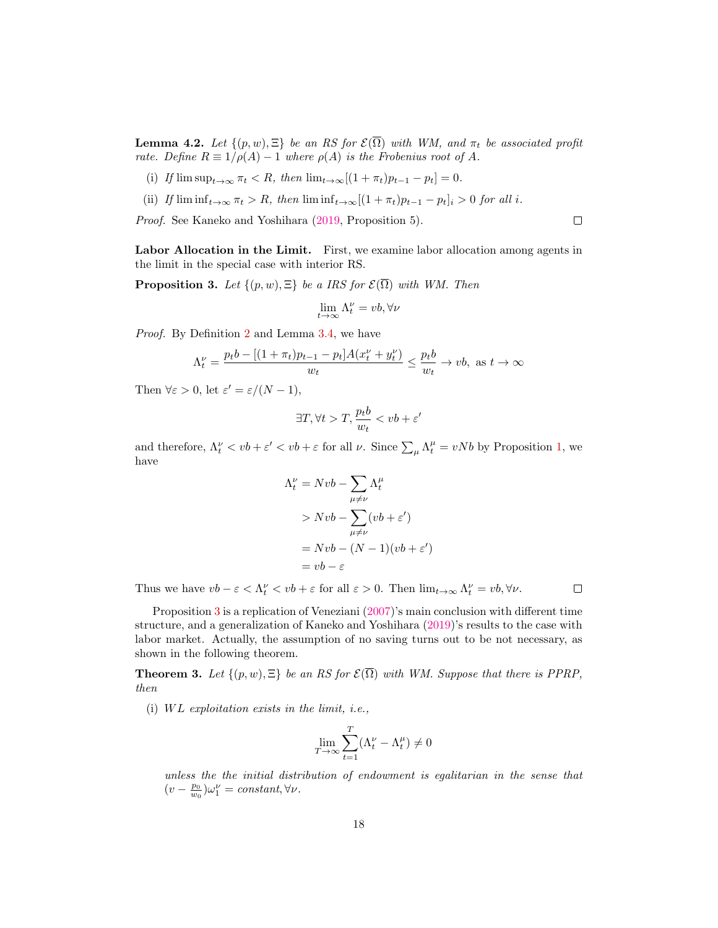<span id="page-18-0"></span>**Lemma 4.2.** Let  $\{(p, w), \Xi\}$  be an RS for  $\mathcal{E}(\overline{\Omega})$  with WM, and  $\pi_t$  be associated profit rate. Define  $R \equiv 1/\rho(A) - 1$  where  $\rho(A)$  is the Frobenius root of A.

- (i) If  $\limsup_{t\to\infty} \pi_t < R$ , then  $\lim_{t\to\infty} [(1+\pi_t)p_{t-1} p_t] = 0$ .
- (ii) If  $\liminf_{t\to\infty} \pi_t > R$ , then  $\liminf_{t\to\infty} [(1+\pi_t)p_{t-1} p_t]_i > 0$  for all i.

Proof. See Kaneko and Yoshihara [\(2019,](#page-22-1) Proposition 5).

Labor Allocation in the Limit. First, we examine labor allocation among agents in the limit in the special case with interior RS.

<span id="page-18-2"></span>**Proposition 3.** Let  $\{(p, w), \Xi\}$  be a IRS for  $\mathcal{E}(\overline{\Omega})$  with WM. Then

$$
\lim_{t\to\infty}\Lambda^\nu_t=vb, \forall \nu
$$

Proof. By Definition [2](#page-8-2) and Lemma [3.4,](#page-13-0) we have

$$
\Lambda_t^{\nu} = \frac{p_t b - [(1 + \pi_t)p_{t-1} - p_t]A(x_t^{\nu} + y_t^{\nu})}{w_t} \le \frac{p_t b}{w_t} \to vb, \text{ as } t \to \infty
$$

Then  $\forall \varepsilon > 0$ , let  $\varepsilon' = \varepsilon/(N-1)$ ,

$$
\exists T, \forall t > T, \frac{p_t b}{w_t} < vb + \varepsilon'
$$

and therefore,  $\Lambda_t^{\nu} < v b + \varepsilon' < v b + \varepsilon$  for all  $\nu$ . Since  $\sum_{\mu} \Lambda_t^{\mu} = v N b$  by Proposition [1,](#page-9-2) we have

$$
\Lambda_t^{\nu} = Nvb - \sum_{\mu \neq \nu} \Lambda_t^{\mu}
$$
  
>  $Nvb - \sum_{\mu \neq \nu} (vb + \varepsilon')$   
=  $Nvb - (N - 1)(vb + \varepsilon')$   
=  $vb - \varepsilon$ 

Thus we have  $vb - \varepsilon < \Lambda_t^{\nu} < vb + \varepsilon$  for all  $\varepsilon > 0$ . Then  $\lim_{t \to \infty} \Lambda_t^{\nu} = vb, \forall \nu$ .

 $\Box$ 

 $\Box$ 

Proposition [3](#page-18-2) is a replication of Veneziani [\(2007\)](#page-22-9)'s main conclusion with different time structure, and a generalization of Kaneko and Yoshihara [\(2019\)](#page-22-1)'s results to the case with labor market. Actually, the assumption of no saving turns out to be not necessary, as shown in the following theorem.

<span id="page-18-1"></span>**Theorem 3.** Let  $\{(p, w), \Xi\}$  be an RS for  $\mathcal{E}(\overline{\Omega})$  with WM. Suppose that there is PPRP, then

(i)  $WL$  exploitation exists in the limit, i.e.,

$$
\lim_{T \to \infty} \sum_{t=1}^T (\Lambda_t^{\nu} - \Lambda_t^{\mu}) \neq 0
$$

unless the the initial distribution of endowment is egalitarian in the sense that  $(v - \frac{p_0}{w_0})\omega_1^{\nu} = constant, \forall \nu.$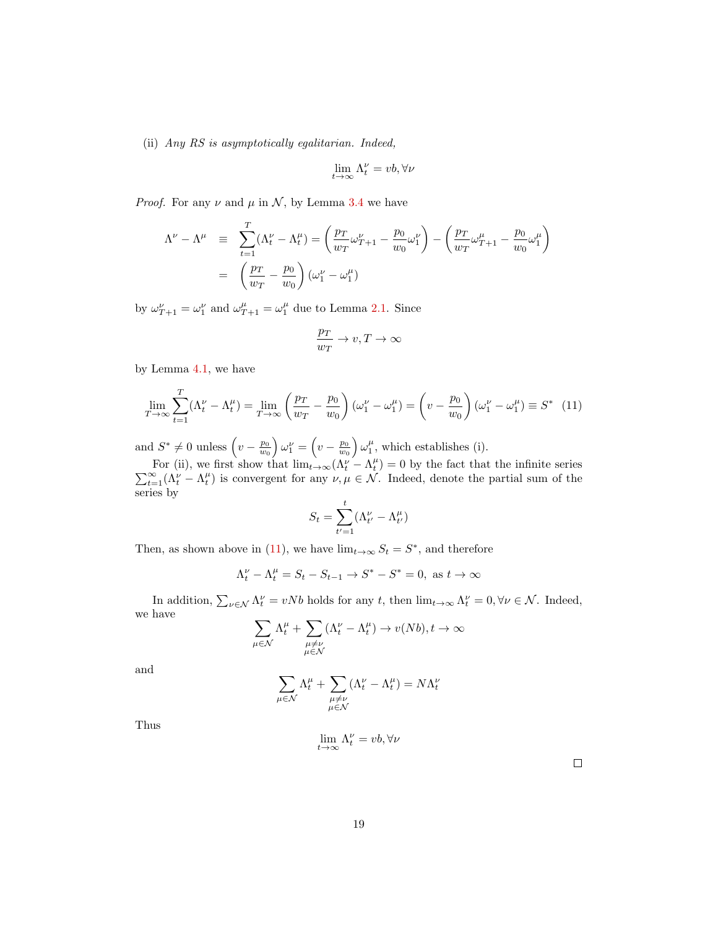(ii) Any RS is asymptotically egalitarian. Indeed,

$$
\lim_{t\to\infty}\Lambda^\nu_t=vb, \forall \nu
$$

*Proof.* For any  $\nu$  and  $\mu$  in  $\mathcal{N}$ , by Lemma [3.4](#page-13-0) we have

$$
\Lambda^{\nu} - \Lambda^{\mu} \equiv \sum_{t=1}^{T} (\Lambda_t^{\nu} - \Lambda_t^{\mu}) = \left(\frac{p_T}{w_T} \omega_{T+1}^{\nu} - \frac{p_0}{w_0} \omega_1^{\nu}\right) - \left(\frac{p_T}{w_T} \omega_{T+1}^{\mu} - \frac{p_0}{w_0} \omega_1^{\mu}\right)
$$

$$
= \left(\frac{p_T}{w_T} - \frac{p_0}{w_0}\right) (\omega_1^{\nu} - \omega_1^{\mu})
$$

by  $\omega_{T+1}^{\nu} = \omega_1^{\nu}$  and  $\omega_{T+1}^{\mu} = \omega_1^{\mu}$  due to Lemma [2.1.](#page-9-0) Since

$$
\frac{p_T}{w_T} \to v, T \to \infty
$$

by Lemma [4.1,](#page-17-0) we have

<span id="page-19-0"></span>
$$
\lim_{T \to \infty} \sum_{t=1}^{T} (\Lambda_t^{\nu} - \Lambda_t^{\mu}) = \lim_{T \to \infty} \left( \frac{p_T}{w_T} - \frac{p_0}{w_0} \right) (\omega_1^{\nu} - \omega_1^{\mu}) = \left( v - \frac{p_0}{w_0} \right) (\omega_1^{\nu} - \omega_1^{\mu}) \equiv S^* \tag{11}
$$

and  $S^* \neq 0$  unless  $\left(v - \frac{p_0}{w_0}\right) \omega_1^{\nu} = \left(v - \frac{p_0}{w_0}\right) \omega_1^{\mu}$ , which establishes (i).

For (ii), we first show that  $\lim_{t\to\infty} (\Lambda_t^{\nu} - \Lambda_t^{\mu}) = 0$  by the fact that the infinite series  $\sum_{t=1}^{\infty} (\Lambda_t^{\nu} - \Lambda_t^{\mu})$  is convergent for any  $\nu, \mu \in \mathcal{N}$ . Indeed, denote the partial sum of the series by

$$
S_t = \sum_{t'=1}^t (\Lambda_{t'}^\nu - \Lambda_{t'}^\mu)
$$

Then, as shown above in [\(11\)](#page-19-0), we have  $\lim_{t\to\infty} S_t = S^*$ , and therefore

$$
\Lambda^\nu_t-\Lambda^\mu_t=S_t-S_{t-1}\to S^*-S^*=0,\text{ as }t\to\infty
$$

In addition,  $\sum_{\nu \in \mathcal{N}} \Lambda_t^{\nu} = vNb$  holds for any t, then  $\lim_{t \to \infty} \Lambda_t^{\nu} = 0, \forall \nu \in \mathcal{N}$ . Indeed, we have

$$
\sum_{\mu\in\mathcal{N}}\Lambda^\mu_t+\sum_{\substack{\mu\neq\nu\\\mu\in\mathcal{N}}}(\Lambda^\nu_t-\Lambda^\mu_t)\to v(Nb), t\to\infty
$$

and

$$
\sum_{\mu \in \mathcal{N}} \Lambda_t^{\mu} + \sum_{\substack{\mu \neq \nu \\ \mu \in \mathcal{N}}} (\Lambda_t^{\nu} - \Lambda_t^{\mu}) = N \Lambda_t^{\nu}
$$

Thus

$$
\lim_{t\to\infty}\Lambda^\nu_t=vb, \forall \nu
$$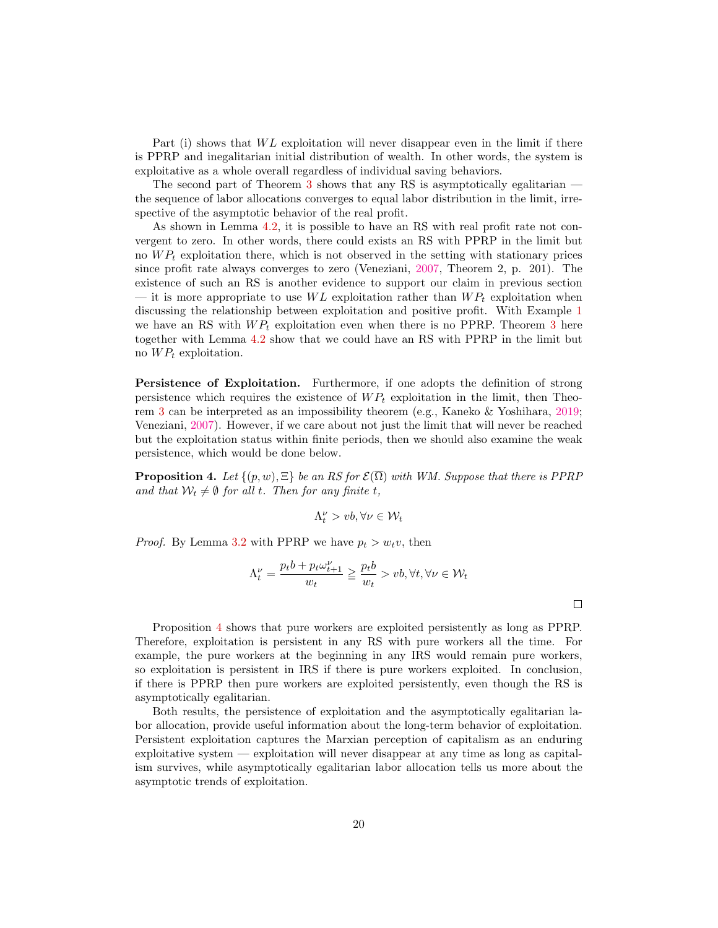Part (i) shows that  $WL$  exploitation will never disappear even in the limit if there is PPRP and inegalitarian initial distribution of wealth. In other words, the system is exploitative as a whole overall regardless of individual saving behaviors.

The second part of Theorem [3](#page-18-1) shows that any RS is asymptotically egalitarian the sequence of labor allocations converges to equal labor distribution in the limit, irrespective of the asymptotic behavior of the real profit.

As shown in Lemma [4.2,](#page-18-0) it is possible to have an RS with real profit rate not convergent to zero. In other words, there could exists an RS with PPRP in the limit but no  $WP_t$  exploitation there, which is not observed in the setting with stationary prices since profit rate always converges to zero (Veneziani, [2007,](#page-22-9) Theorem 2, p. 201). The existence of such an RS is another evidence to support our claim in previous section — it is more appropriate to use  $WL$  exploitation rather than  $WP<sub>t</sub>$  exploitation when discussing the relationship between exploitation and positive profit. With Example [1](#page-14-2) we have an RS with  $WP<sub>t</sub>$  exploitation even when there is no PPRP. Theorem [3](#page-18-1) here together with Lemma [4.2](#page-18-0) show that we could have an RS with PPRP in the limit but no  $WP_t$  exploitation.

Persistence of Exploitation. Furthermore, if one adopts the definition of strong persistence which requires the existence of  $WP_t$  exploitation in the limit, then Theorem [3](#page-18-1) can be interpreted as an impossibility theorem (e.g., Kaneko & Yoshihara, [2019;](#page-22-1) Veneziani, [2007\)](#page-22-9). However, if we care about not just the limit that will never be reached but the exploitation status within finite periods, then we should also examine the weak persistence, which would be done below.

<span id="page-20-0"></span>**Proposition 4.** Let  $\{(p, w), \Xi\}$  be an RS for  $\mathcal{E}(\overline{\Omega})$  with WM. Suppose that there is PPRP and that  $W_t \neq \emptyset$  for all t. Then for any finite t,

$$
\Lambda_t^{\nu} > vb, \forall \nu \in \mathcal{W}_t
$$

*Proof.* By Lemma [3.2](#page-11-3) with PPRP we have  $p_t > w_t v$ , then

$$
\Lambda_t^{\nu} = \frac{p_t b + p_t \omega_{t+1}^{\nu}}{w_t} \ge \frac{p_t b}{w_t} > vb, \forall t, \forall \nu \in \mathcal{W}_t
$$

Proposition [4](#page-20-0) shows that pure workers are exploited persistently as long as PPRP. Therefore, exploitation is persistent in any RS with pure workers all the time. For example, the pure workers at the beginning in any IRS would remain pure workers, so exploitation is persistent in IRS if there is pure workers exploited. In conclusion, if there is PPRP then pure workers are exploited persistently, even though the RS is asymptotically egalitarian.

Both results, the persistence of exploitation and the asymptotically egalitarian labor allocation, provide useful information about the long-term behavior of exploitation. Persistent exploitation captures the Marxian perception of capitalism as an enduring exploitative system — exploitation will never disappear at any time as long as capitalism survives, while asymptotically egalitarian labor allocation tells us more about the asymptotic trends of exploitation.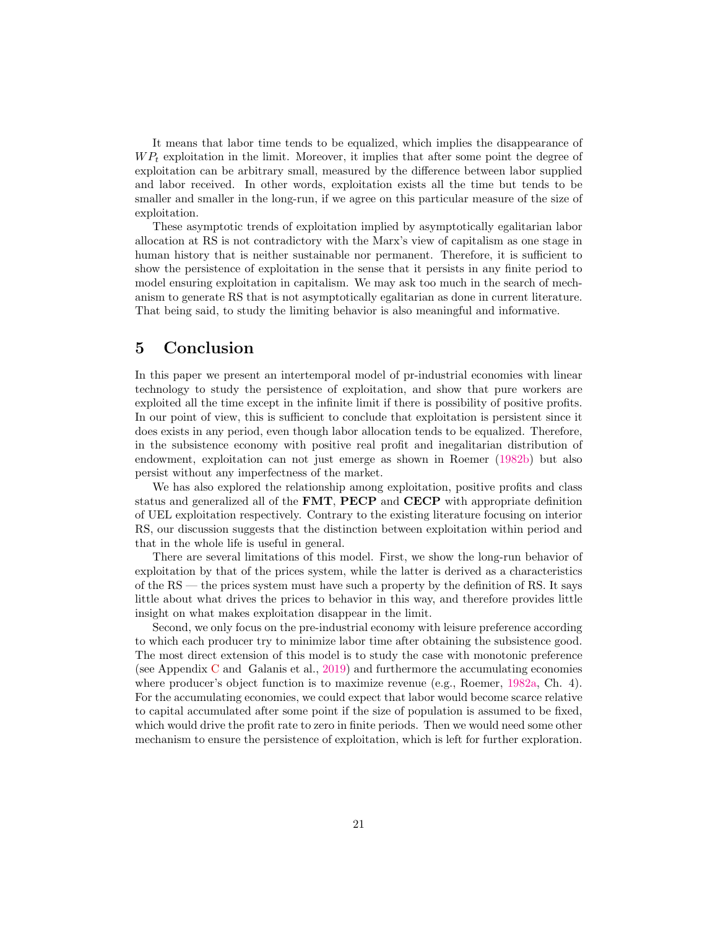It means that labor time tends to be equalized, which implies the disappearance of  $WP<sub>t</sub>$  exploitation in the limit. Moreover, it implies that after some point the degree of exploitation can be arbitrary small, measured by the difference between labor supplied and labor received. In other words, exploitation exists all the time but tends to be smaller and smaller in the long-run, if we agree on this particular measure of the size of exploitation.

These asymptotic trends of exploitation implied by asymptotically egalitarian labor allocation at RS is not contradictory with the Marx's view of capitalism as one stage in human history that is neither sustainable nor permanent. Therefore, it is sufficient to show the persistence of exploitation in the sense that it persists in any finite period to model ensuring exploitation in capitalism. We may ask too much in the search of mechanism to generate RS that is not asymptotically egalitarian as done in current literature. That being said, to study the limiting behavior is also meaningful and informative.

## 5 Conclusion

In this paper we present an intertemporal model of pr-industrial economies with linear technology to study the persistence of exploitation, and show that pure workers are exploited all the time except in the infinite limit if there is possibility of positive profits. In our point of view, this is sufficient to conclude that exploitation is persistent since it does exists in any period, even though labor allocation tends to be equalized. Therefore, in the subsistence economy with positive real profit and inegalitarian distribution of endowment, exploitation can not just emerge as shown in Roemer [\(1982b\)](#page-22-11) but also persist without any imperfectness of the market.

We has also explored the relationship among exploitation, positive profits and class status and generalized all of the FMT, PECP and CECP with appropriate definition of UEL exploitation respectively. Contrary to the existing literature focusing on interior RS, our discussion suggests that the distinction between exploitation within period and that in the whole life is useful in general.

There are several limitations of this model. First, we show the long-run behavior of exploitation by that of the prices system, while the latter is derived as a characteristics of the RS — the prices system must have such a property by the definition of RS. It says little about what drives the prices to behavior in this way, and therefore provides little insight on what makes exploitation disappear in the limit.

Second, we only focus on the pre-industrial economy with leisure preference according to which each producer try to minimize labor time after obtaining the subsistence good. The most direct extension of this model is to study the case with monotonic preference (see Appendix [C](#page-28-0) and Galanis et al., [2019\)](#page-22-0) and furthermore the accumulating economies where producer's object function is to maximize revenue (e.g., Roemer, [1982a,](#page-22-10) Ch. 4). For the accumulating economies, we could expect that labor would become scarce relative to capital accumulated after some point if the size of population is assumed to be fixed, which would drive the profit rate to zero in finite periods. Then we would need some other mechanism to ensure the persistence of exploitation, which is left for further exploration.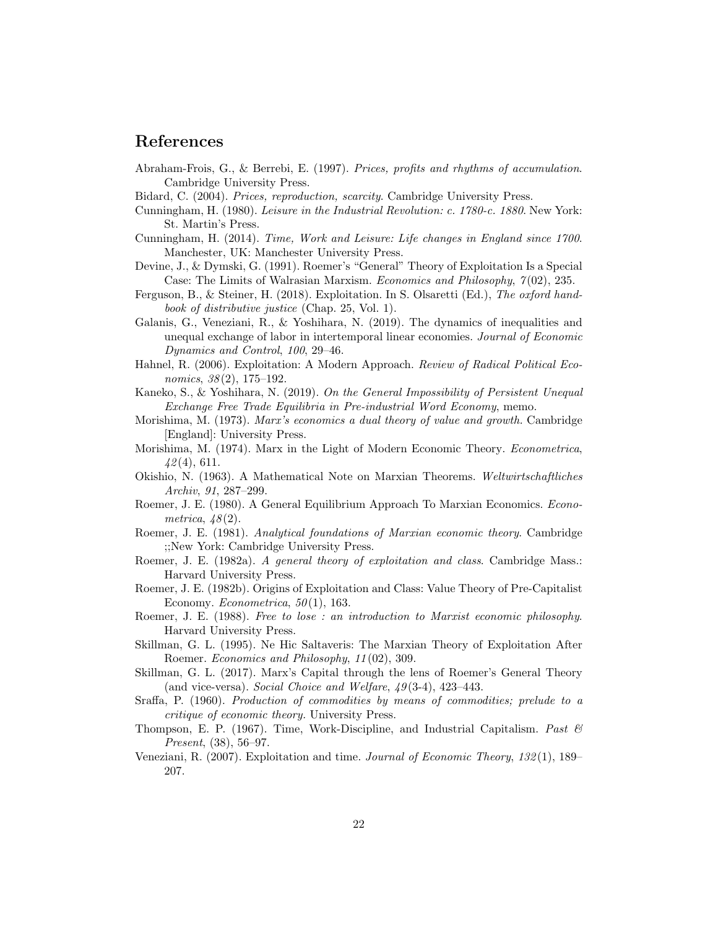# References

- <span id="page-22-20"></span>Abraham-Frois, G., & Berrebi, E. (1997). Prices, profits and rhythms of accumulation. Cambridge University Press.
- <span id="page-22-19"></span>Bidard, C. (2004). Prices, reproduction, scarcity. Cambridge University Press.
- <span id="page-22-3"></span>Cunningham, H. (1980). Leisure in the Industrial Revolution: c. 1780-c. 1880. New York: St. Martin's Press.
- <span id="page-22-4"></span>Cunningham, H. (2014). Time, Work and Leisure: Life changes in England since 1700. Manchester, UK: Manchester University Press.
- <span id="page-22-12"></span>Devine, J., & Dymski, G. (1991). Roemer's "General" Theory of Exploitation Is a Special Case: The Limits of Walrasian Marxism. *Economics and Philosophy*,  $7(02)$ , 235.
- <span id="page-22-16"></span>Ferguson, B., & Steiner, H. (2018). Exploitation. In S. Olsaretti (Ed.), The oxford handbook of distributive justice (Chap. 25, Vol. 1).
- <span id="page-22-0"></span>Galanis, G., Veneziani, R., & Yoshihara, N. (2019). The dynamics of inequalities and unequal exchange of labor in intertemporal linear economies. Journal of Economic Dynamics and Control, 100, 29–46.
- <span id="page-22-13"></span>Hahnel, R. (2006). Exploitation: A Modern Approach. Review of Radical Political Economics,  $38(2)$ ,  $175-192$ .
- <span id="page-22-1"></span>Kaneko, S., & Yoshihara, N. (2019). On the General Impossibility of Persistent Unequal Exchange Free Trade Equilibria in Pre-industrial Word Economy, memo.
- <span id="page-22-8"></span>Morishima, M. (1973). Marx's economics a dual theory of value and growth. Cambridge [England]: University Press.
- <span id="page-22-15"></span>Morishima, M. (1974). Marx in the Light of Modern Economic Theory. Econometrica,  $42(4),\,611.$
- <span id="page-22-7"></span>Okishio, N. (1963). A Mathematical Note on Marxian Theorems. Weltwirtschaftliches Archiv, 91, 287–299.
- <span id="page-22-6"></span>Roemer, J. E. (1980). A General Equilibrium Approach To Marxian Economics. Econometrica,  $48(2)$ .
- <span id="page-22-17"></span>Roemer, J. E. (1981). Analytical foundations of Marxian economic theory. Cambridge ;;New York: Cambridge University Press.
- <span id="page-22-10"></span>Roemer, J. E. (1982a). A general theory of exploitation and class. Cambridge Mass.: Harvard University Press.
- <span id="page-22-11"></span>Roemer, J. E. (1982b). Origins of Exploitation and Class: Value Theory of Pre-Capitalist Economy. *Econometrica*,  $50(1)$ , 163.
- <span id="page-22-21"></span>Roemer, J. E. (1988). Free to lose : an introduction to Marxist economic philosophy. Harvard University Press.
- <span id="page-22-14"></span>Skillman, G. L. (1995). Ne Hic Saltaveris: The Marxian Theory of Exploitation After Roemer. Economics and Philosophy, 11 (02), 309.
- <span id="page-22-2"></span>Skillman, G. L. (2017). Marx's Capital through the lens of Roemer's General Theory (and vice-versa). Social Choice and Welfare,  $49(3-4)$ ,  $423-443$ .
- <span id="page-22-18"></span>Sraffa, P. (1960). Production of commodities by means of commodities; prelude to a critique of economic theory. University Press.
- <span id="page-22-5"></span>Thompson, E. P. (1967). Time, Work-Discipline, and Industrial Capitalism. Past  $\mathcal{C}$ Present, (38), 56–97.
- <span id="page-22-9"></span>Veneziani, R. (2007). Exploitation and time. Journal of Economic Theory, 132 (1), 189– 207.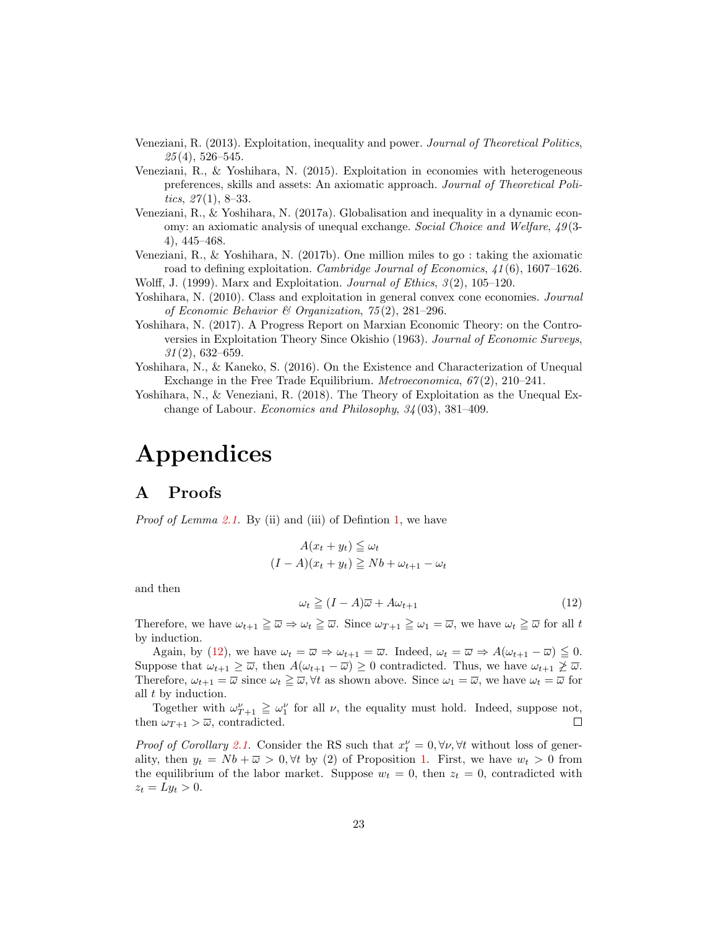- <span id="page-23-3"></span>Veneziani, R. (2013). Exploitation, inequality and power. Journal of Theoretical Politics,  $25(4)$ , 526–545.
- <span id="page-23-0"></span>Veneziani, R., & Yoshihara, N. (2015). Exploitation in economies with heterogeneous preferences, skills and assets: An axiomatic approach. Journal of Theoretical Politics,  $27(1)$ , 8–33.
- <span id="page-23-9"></span>Veneziani, R., & Yoshihara, N. (2017a). Globalisation and inequality in a dynamic economy: an axiomatic analysis of unequal exchange. Social Choice and Welfare, 49 (3- 4), 445–468.
- <span id="page-23-1"></span>Veneziani, R., & Yoshihara, N. (2017b). One million miles to go : taking the axiomatic road to defining exploitation. Cambridge Journal of Economics,  $\angle 41(6)$ , 1607–1626.

<span id="page-23-4"></span>Wolff, J. (1999). Marx and Exploitation. Journal of Ethics,  $3(2)$ , 105–120.

- <span id="page-23-2"></span>Yoshihara, N. (2010). Class and exploitation in general convex cone economies. Journal of Economic Behavior & Organization, 75 (2), 281–296.
- <span id="page-23-6"></span>Yoshihara, N. (2017). A Progress Report on Marxian Economic Theory: on the Controversies in Exploitation Theory Since Okishio (1963). Journal of Economic Surveys,  $31(2)$ , 632–659.
- <span id="page-23-5"></span>Yoshihara, N., & Kaneko, S. (2016). On the Existence and Characterization of Unequal Exchange in the Free Trade Equilibrium. Metroeconomica, 67 (2), 210–241.
- <span id="page-23-7"></span>Yoshihara, N., & Veneziani, R. (2018). The Theory of Exploitation as the Unequal Exchange of Labour. Economics and Philosophy, 34 (03), 381–409.

# Appendices

# <span id="page-23-8"></span>A Proofs

*Proof of Lemma [2.1.](#page-9-0)* By (ii) and (iii) of Defintion [1,](#page-8-1) we have

$$
A(x_t + y_t) \leq \omega_t
$$
  

$$
(I - A)(x_t + y_t) \geq Nb + \omega_{t+1} - \omega_t
$$

and then

<span id="page-23-10"></span>
$$
\omega_t \ge (I - A)\overline{\omega} + A\omega_{t+1} \tag{12}
$$

Therefore, we have  $\omega_{t+1} \geq \overline{\omega} \Rightarrow \omega_t \geq \overline{\omega}$ . Since  $\omega_{T+1} \geq \omega_1 = \overline{\omega}$ , we have  $\omega_t \geq \overline{\omega}$  for all t by induction.

Again, by [\(12\)](#page-23-10), we have  $\omega_t = \overline{\omega} \Rightarrow \omega_{t+1} = \overline{\omega}$ . Indeed,  $\omega_t = \overline{\omega} \Rightarrow A(\omega_{t+1} - \overline{\omega}) \leq 0$ . Suppose that  $\omega_{t+1} \geq \overline{\omega}$ , then  $A(\omega_{t+1} - \overline{\omega}) \geq 0$  contradicted. Thus, we have  $\omega_{t+1} \not\geq \overline{\omega}$ . Therefore,  $\omega_{t+1} = \overline{\omega}$  since  $\omega_t \geq \overline{\omega}$ ,  $\forall t$  as shown above. Since  $\omega_1 = \overline{\omega}$ , we have  $\omega_t = \overline{\omega}$  for all t by induction.

Together with  $\omega_{T+1}^{\nu} \geq \omega_1^{\nu}$  for all  $\nu$ , the equality must hold. Indeed, suppose not, then  $\omega_{T+1} > \overline{\omega}$ , contradicted.  $\Box$ 

*Proof of Corollary [2.1.](#page-10-0)* Consider the RS such that  $x_t^{\nu} = 0, \forall \nu, \forall t$  without loss of generality, then  $y_t = Nb + \overline{\omega} > 0$ ,  $\forall t$  by (2) of Proposition [1.](#page-9-2) First, we have  $w_t > 0$  from the equilibrium of the labor market. Suppose  $w_t = 0$ , then  $z_t = 0$ , contradicted with  $z_t = Ly_t > 0.$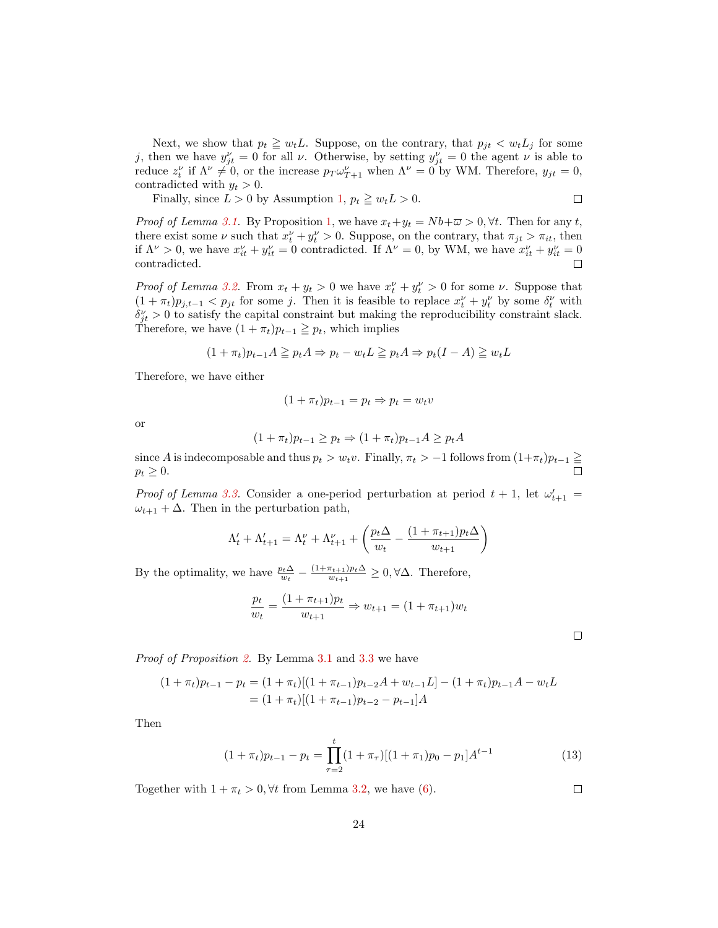Next, we show that  $p_t \geq w_t L$ . Suppose, on the contrary, that  $p_{jt} < w_t L_j$  for some j, then we have  $y_{jt}^{\nu} = 0$  for all  $\nu$ . Otherwise, by setting  $y_{jt}^{\nu} = 0$  the agent  $\nu$  is able to reduce  $z_t^{\nu}$  if  $\Lambda^{\nu} \neq 0$ , or the increase  $p_T \omega_{T+1}^{\nu}$  when  $\Lambda^{\nu} = 0$  by WM. Therefore,  $y_{jt} = 0$ , contradicted with  $y_t > 0$ .

Finally, since  $L > 0$  by Assumption [1,](#page-5-2)  $p_t \geq w_t L > 0$ .  $\Box$ 

*Proof of Lemma [3.1.](#page-11-2)* By Proposition [1,](#page-9-2) we have  $x_t + y_t = Nb + \overline{\omega} > 0$ ,  $\forall t$ . Then for any t, there exist some  $\nu$  such that  $x_t^{\nu} + y_t^{\nu} > 0$ . Suppose, on the contrary, that  $\pi_{jt} > \pi_{it}$ , then if  $\Lambda^{\nu} > 0$ , we have  $x_{it}^{\nu} + y_{it}^{\nu} = 0$  contradicted. If  $\Lambda^{\nu} = 0$ , by WM, we have  $x_{it}^{\nu} + y_{it}^{\nu} = 0$ contradicted. П

*Proof of Lemma [3.2.](#page-11-3)* From  $x_t + y_t > 0$  we have  $x_t^{\nu} + y_t^{\nu} > 0$  for some  $\nu$ . Suppose that  $(1 + \pi_t)p_{j,t-1} < p_{jt}$  for some j. Then it is feasible to replace  $x_t^{\nu} + y_t^{\nu}$  by some  $\delta_t^{\nu}$  with  $\delta_{jt}^{\nu} > 0$  to satisfy the capital constraint but making the reproducibility constraint slack. Therefore, we have  $(1 + \pi_t)p_{t-1} \geq p_t$ , which implies

$$
(1 + \pi_t)p_{t-1}A \geqq p_t A \Rightarrow p_t - w_t L \geqq p_t A \Rightarrow p_t (I - A) \geqq w_t L
$$

Therefore, we have either

$$
(1 + \pi_t)p_{t-1} = p_t \Rightarrow p_t = w_t v
$$

or

$$
(1 + \pi_t)p_{t-1} \ge p_t \Rightarrow (1 + \pi_t)p_{t-1}A \ge p_tA
$$

since A is indecomposable and thus  $p_t > w_t v$ . Finally,  $\pi_t > -1$  follows from  $(1+\pi_t)p_{t-1} \ge$  $p_t \geq 0$ .

*Proof of Lemma [3.3.](#page-12-0)* Consider a one-period perturbation at period  $t + 1$ , let  $\omega_{t+1}' =$  $\omega_{t+1} + \Delta$ . Then in the perturbation path,

$$
\Lambda'_{t} + \Lambda'_{t+1} = \Lambda''_{t} + \Lambda''_{t+1} + \left(\frac{p_t \Delta}{w_t} - \frac{(1 + \pi_{t+1}) p_t \Delta}{w_{t+1}}\right)
$$

By the optimality, we have  $\frac{p_t \Delta}{w_t} - \frac{(1 + \pi_{t+1})p_t \Delta}{w_{t+1}}$  $\frac{\pi_{t+1} p_t \Delta}{w_{t+1}} \geq 0, \forall \Delta$ . Therefore,

$$
\frac{p_t}{w_t} = \frac{(1 + \pi_{t+1})p_t}{w_{t+1}} \Rightarrow w_{t+1} = (1 + \pi_{t+1})w_t
$$

 $\Box$ 

Proof of Proposition [2.](#page-12-3) By Lemma [3.1](#page-11-2) and [3.3](#page-12-0) we have

$$
(1 + \pi_t)p_{t-1} - p_t = (1 + \pi_t)[(1 + \pi_{t-1})p_{t-2}A + w_{t-1}L] - (1 + \pi_t)p_{t-1}A - w_tL
$$
  
=  $(1 + \pi_t)[(1 + \pi_{t-1})p_{t-2} - p_{t-1}]A$ 

Then

$$
(1 + \pi_t)p_{t-1} - p_t = \prod_{\tau=2}^t (1 + \pi_\tau)[(1 + \pi_1)p_0 - p_1]A^{t-1}
$$
\n(13)

Together with  $1 + \pi_t > 0$ ,  $\forall t$  from Lemma [3.2,](#page-11-3) we have [\(6\)](#page-12-4).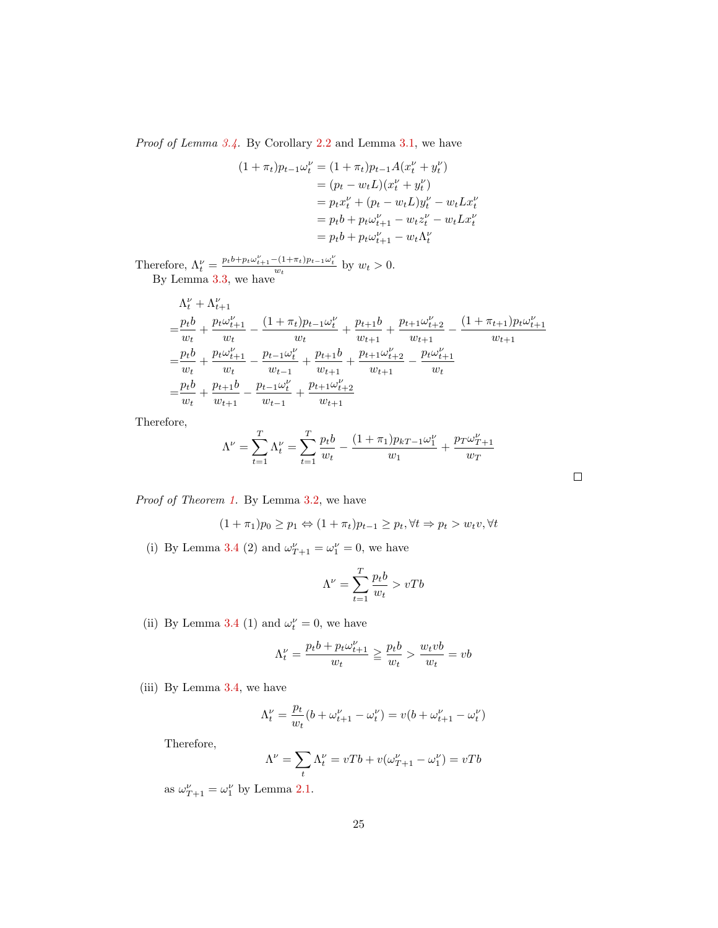Proof of Lemma [3.4.](#page-13-0) By Corollary [2.2](#page-10-2) and Lemma [3.1,](#page-11-2) we have

$$
(1 + \pi_t)p_{t-1}\omega_t^{\nu} = (1 + \pi_t)p_{t-1}A(x_t^{\nu} + y_t^{\nu})
$$
  
=  $(p_t - w_tL)(x_t^{\nu} + y_t^{\nu})$   
=  $p_t x_t^{\nu} + (p_t - w_tL)y_t^{\nu} - w_tLx_t^{\nu}$   
=  $p_t b + p_t \omega_{t+1}^{\nu} - w_t z_t^{\nu} - w_tLx_t^{\nu}$   
=  $p_t b + p_t \omega_{t+1}^{\nu} - w_t \Lambda_t^{\nu}$ 

Therefore,  $\Lambda_t^{\nu} = \frac{p_t b + p_t \omega_{t+1}^{\nu} - (1 + \pi_t) p_{t-1} \omega_t^{\nu}}{w_t}$  by  $w_t > 0$ . By Lemma [3.3,](#page-12-0) we have

$$
\Lambda_t^{\nu} + \Lambda_{t+1}^{\nu}
$$
\n
$$
= \frac{p_t b}{w_t} + \frac{p_t \omega_{t+1}^{\nu}}{w_t} - \frac{(1 + \pi_t) p_{t-1} \omega_t^{\nu}}{w_t} + \frac{p_{t+1} b}{w_{t+1}} + \frac{p_{t+1} \omega_{t+2}^{\nu}}{w_{t+1}} - \frac{(1 + \pi_{t+1}) p_t \omega_{t+1}^{\nu}}{w_{t+1}}
$$
\n
$$
= \frac{p_t b}{w_t} + \frac{p_t \omega_{t+1}^{\nu}}{w_t} - \frac{p_{t-1} \omega_t^{\nu}}{w_{t-1}} + \frac{p_{t+1} b}{w_{t+1}} + \frac{p_{t+1} \omega_{t+2}^{\nu}}{w_{t+1}} - \frac{p_t \omega_{t+1}^{\nu}}{w_t}
$$
\n
$$
= \frac{p_t b}{w_t} + \frac{p_{t+1} b}{w_{t+1}} - \frac{p_{t-1} \omega_t^{\nu}}{w_{t-1}} + \frac{p_{t+1} \omega_{t+2}^{\nu}}{w_{t+1}}
$$

Therefore,

$$
\Lambda^{\nu} = \sum_{t=1}^{T} \Lambda_t^{\nu} = \sum_{t=1}^{T} \frac{p_t b}{w_t} - \frac{(1+\pi_1)p_{kT-1}\omega_1^{\nu}}{w_1} + \frac{p_T \omega_{T+1}^{\nu}}{w_T}
$$

 $\Box$ 

Proof of Theorem [1.](#page-14-0) By Lemma [3.2,](#page-11-3) we have

$$
(1 + \pi_1)p_0 \ge p_1 \Leftrightarrow (1 + \pi_t)p_{t-1} \ge p_t, \forall t \Rightarrow p_t > w_t v, \forall t
$$

(i) By Lemma [3.4](#page-13-0) (2) and  $\omega_{T+1}^{\nu} = \omega_1^{\nu} = 0$ , we have

$$
\Lambda^{\nu}=\sum_{t=1}^{T}\frac{p_{t}b}{w_{t}}>vTb
$$

(ii) By Lemma [3.4](#page-13-0) (1) and  $\omega_t^{\nu} = 0$ , we have

$$
\Lambda_t^{\nu} = \frac{p_t b + p_t \omega_{t+1}^{\nu}}{w_t} \ge \frac{p_t b}{w_t} > \frac{w_t v b}{w_t} = v b
$$

(iii) By Lemma [3.4,](#page-13-0) we have

$$
\Lambda^\nu_t = \frac{p_t}{w_t}(b+\omega_{t+1}^\nu-\omega_t^\nu) = v(b+\omega_{t+1}^\nu-\omega_t^\nu)
$$

Therefore,

$$
\Lambda^\nu=\sum_t \Lambda^\nu_t=vTb+v(\omega_{T+1}^\nu-\omega_1^\nu)=vTb
$$

as  $\omega_{T+1}^{\nu} = \omega_1^{\nu}$  by Lemma [2.1.](#page-9-0)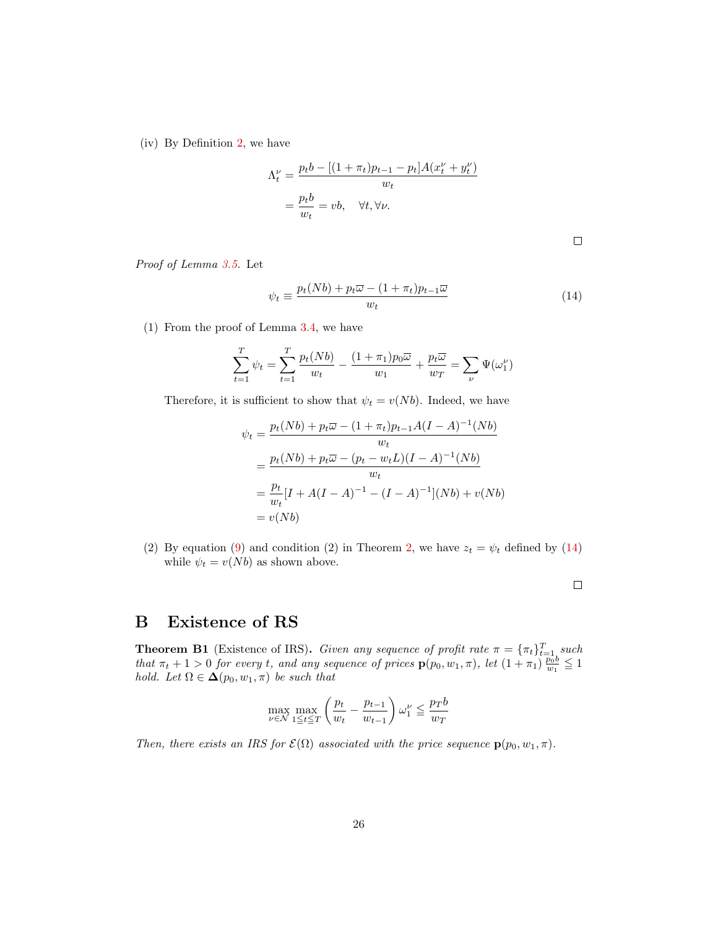(iv) By Definition [2,](#page-8-2) we have

$$
\Lambda_t^{\nu} = \frac{p_t b - [(1 + \pi_t)p_{t-1} - p_t]A(x_t^{\nu} + y_t^{\nu})}{w_t}
$$

$$
= \frac{p_t b}{w_t} = vb, \quad \forall t, \forall \nu.
$$

Proof of Lemma [3.5.](#page-1-0) Let

<span id="page-26-2"></span>
$$
\psi_t \equiv \frac{p_t(Nb) + p_t \overline{\omega} - (1 + \pi_t) p_{t-1} \overline{\omega}}{w_t} \tag{14}
$$

(1) From the proof of Lemma [3.4,](#page-13-0) we have

$$
\sum_{t=1}^{T} \psi_t = \sum_{t=1}^{T} \frac{p_t(Nb)}{w_t} - \frac{(1+\pi_1)p_0\overline{\omega}}{w_1} + \frac{p_t\overline{\omega}}{w_T} = \sum_{\nu} \Psi(\omega_1^{\nu})
$$

Therefore, it is sufficient to show that  $\psi_t = v(Nb)$ . Indeed, we have

$$
\psi_t = \frac{p_t(Nb) + p_t \overline{\omega} - (1 + \pi_t) p_{t-1} A (I - A)^{-1} (Nb)}{w_t}
$$
  
= 
$$
\frac{p_t(Nb) + p_t \overline{\omega} - (p_t - w_t L)(I - A)^{-1} (Nb)}{w_t}
$$
  
= 
$$
\frac{p_t}{w_t} [I + A (I - A)^{-1} - (I - A)^{-1}] (Nb) + v (Nb)
$$
  
= 
$$
v(Nb)
$$

(2) By equation [\(9\)](#page-15-1) and condition (2) in Theorem [2,](#page-15-0) we have  $z_t = \psi_t$  defined by [\(14\)](#page-26-2) while  $\psi_t = v(Nb)$  as shown above.

# <span id="page-26-0"></span>B Existence of RS

<span id="page-26-1"></span>**Theorem B1** (Existence of IRS). Given any sequence of profit rate  $\pi = {\pi_t}_{t=1}^T$  such that  $\pi_t + 1 > 0$  for every t, and any sequence of prices  $p(p_0, w_1, \pi)$ , let  $(1 + \pi_1) \frac{p_0 b}{w_1} \leq 1$ hold. Let  $\Omega \in \mathbf{\Delta}(p_0, w_1, \pi)$  be such that

$$
\max_{\nu \in \mathcal{N}} \max_{1 \le t \le T} \left( \frac{p_t}{w_t} - \frac{p_{t-1}}{w_{t-1}} \right) \omega_1^{\nu} \le \frac{p_T b}{w_T}
$$

Then, there exists an IRS for  $\mathcal{E}(\Omega)$  associated with the price sequence  $\mathbf{p}(p_0, w_1, \pi)$ .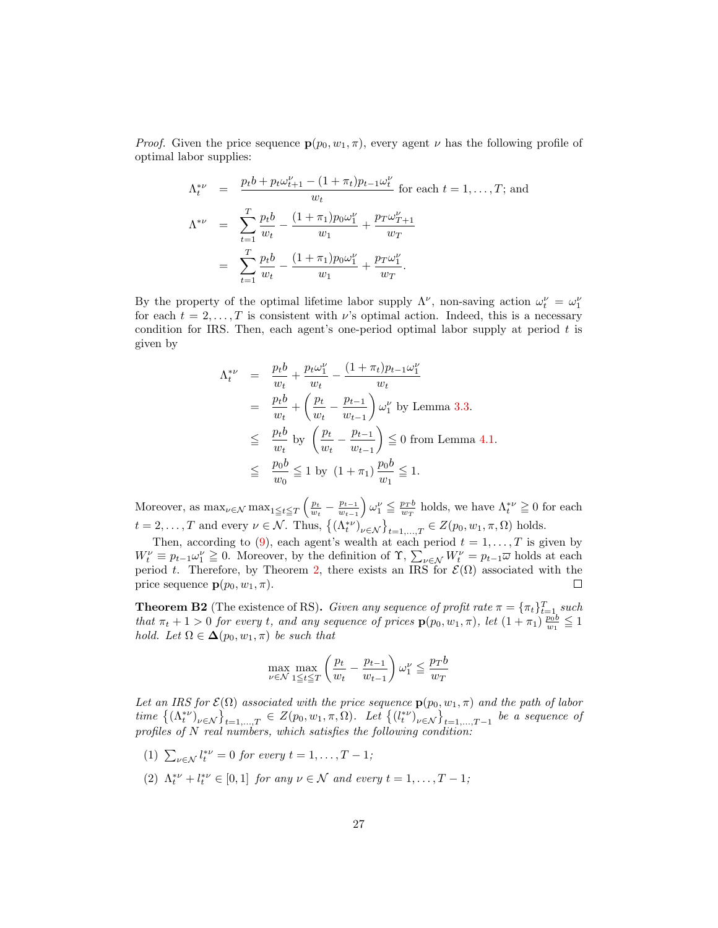*Proof.* Given the price sequence  $p(p_0, w_1, \pi)$ , every agent  $\nu$  has the following profile of optimal labor supplies:

$$
\Lambda_t^{*\nu} = \frac{p_t b + p_t \omega_{t+1}^{\nu} - (1 + \pi_t) p_{t-1} \omega_t^{\nu}}{w_t} \text{ for each } t = 1, ..., T; \text{ and}
$$
\n
$$
\Lambda^{*\nu} = \sum_{t=1}^T \frac{p_t b}{w_t} - \frac{(1 + \pi_1) p_0 \omega_1^{\nu}}{w_1} + \frac{p_T \omega_{T+1}^{\nu}}{w_T}
$$
\n
$$
= \sum_{t=1}^T \frac{p_t b}{w_t} - \frac{(1 + \pi_1) p_0 \omega_1^{\nu}}{w_1} + \frac{p_T \omega_1^{\nu}}{w_T}.
$$

By the property of the optimal lifetime labor supply  $\Lambda^{\nu}$ , non-saving action  $\omega_t^{\nu} = \omega_1^{\nu}$ for each  $t = 2, \ldots, T$  is consistent with  $\nu$ 's optimal action. Indeed, this is a necessary condition for IRS. Then, each agent's one-period optimal labor supply at period  $t$  is given by

$$
\Lambda_t^{*\nu} = \frac{p_t b}{w_t} + \frac{p_t \omega_1^{\nu}}{w_t} - \frac{(1 + \pi_t)p_{t-1}\omega_1^{\nu}}{w_t}
$$
  
\n
$$
= \frac{p_t b}{w_t} + \left(\frac{p_t}{w_t} - \frac{p_{t-1}}{w_{t-1}}\right) \omega_1^{\nu} \text{ by Lemma 3.3.}
$$
  
\n
$$
\leq \frac{p_t b}{w_t} \text{ by } \left(\frac{p_t}{w_t} - \frac{p_{t-1}}{w_{t-1}}\right) \leq 0 \text{ from Lemma 4.1.}
$$
  
\n
$$
\leq \frac{p_0 b}{w_0} \leq 1 \text{ by } (1 + \pi_1) \frac{p_0 b}{w_1} \leq 1.
$$

Moreover, as  $\max_{\nu \in \mathcal{N}} \max_{1 \leq t \leq T} \left( \frac{p_t}{w_t} - \frac{p_{t-1}}{w_{t-1}} \right)$  $\left(\frac{p_{t-1}}{w_{t-1}}\right)\omega_1^{\nu} \leq \frac{p_T b}{w_T}$  holds, we have  $\Lambda_t^{*\nu} \geq 0$  for each  $t = 2, \ldots, T$  and every  $\nu \in \mathcal{N}$ . Thus,  $\{(\Lambda_t^{*\nu})_{\nu \in \mathcal{N}}\}_{t=1,\ldots,T} \in Z(p_0, w_1, \pi, \Omega)$  holds.

Then, according to [\(9\)](#page-15-1), each agent's wealth at each period  $t = 1, \ldots, T$  is given by  $W_t^{\nu} \equiv p_{t-1}\omega_1^{\nu} \geq 0$ . Moreover, by the definition of  $\Upsilon$ ,  $\sum_{\nu \in \mathcal{N}} W_t^{\nu} = p_{t-1}\overline{\omega}$  holds at each period t. Therefore, by Theorem [2,](#page-15-0) there exists an IRS for  $\mathcal{E}(\Omega)$  associated with the price sequence  $\mathbf{p}(p_0, w_1, \pi)$ .

<span id="page-27-0"></span>**Theorem B2** (The existence of RS). Given any sequence of profit rate  $\pi = {\pi_t}_{t=1}^T$  such that  $\pi_t + 1 > 0$  for every t, and any sequence of prices  $p(p_0, w_1, \pi)$ , let  $(1 + \pi_1) \frac{p_0 b}{w_1} \leq 1$ hold. Let  $\Omega \in \Delta(p_0, w_1, \pi)$  be such that

$$
\max_{\nu \in \mathcal{N}} \max_{1 \leq t \leq T} \left( \frac{p_t}{w_t} - \frac{p_{t-1}}{w_{t-1}} \right) \omega_1^{\nu} \leq \frac{p_T b}{w_T}
$$

Let an IRS for  $\mathcal{E}(\Omega)$  associated with the price sequence  $\mathbf{p}(p_0, w_1, \pi)$  and the path of labor time  $\{(A_t^{*v})_{v \in \mathcal{N}}\}_{t=1,...,T} \in Z(p_0, w_1, \pi, \Omega)$ . Let  $\{(l_t^{*v})_{v \in \mathcal{N}}\}_{t=1,...,T-1}$  be a sequence of profiles of N real numbers, which satisfies the following condition:

- (1)  $\sum_{\nu \in \mathcal{N}} l_t^{*\nu} = 0$  for every  $t = 1, ..., T 1$ ;
- (2)  $\Lambda_t^{*\nu} + l_t^{*\nu} \in [0,1]$  for any  $\nu \in \mathcal{N}$  and every  $t = 1, ..., T 1$ ;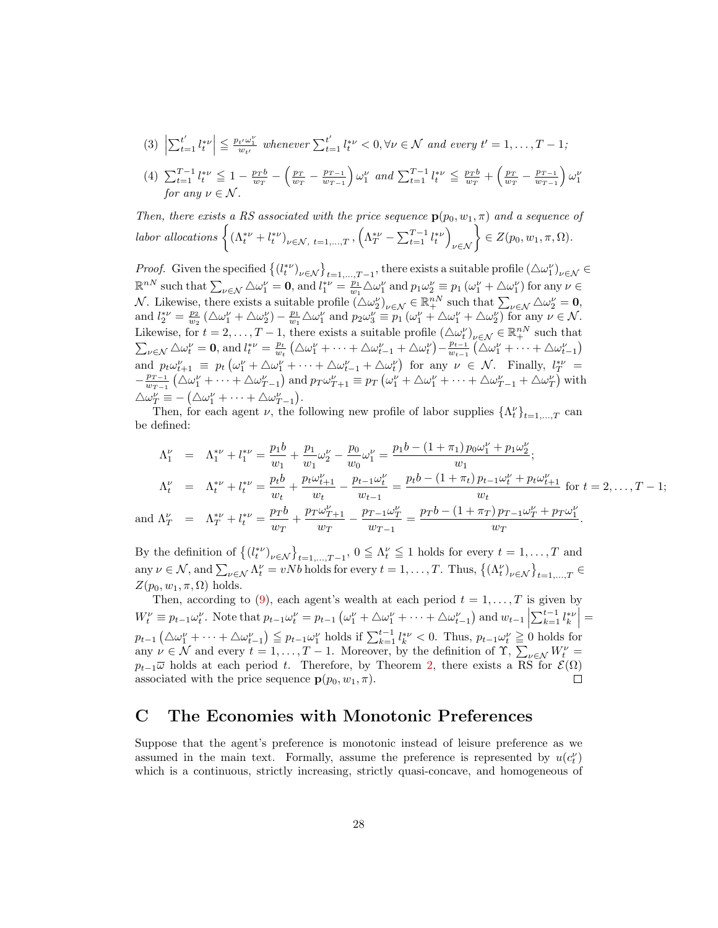(3) 
$$
\left|\sum_{t=1}^{t'} l_t^{*\nu}\right| \leq \frac{p_{t'}\omega_1^{\nu}}{w_{t'}}
$$
 whenever  $\sum_{t=1}^{t'} l_t^{*\nu} < 0, \forall \nu \in \mathcal{N}$  and every  $t' = 1, ..., T - 1$ ;

$$
(4) \sum_{t=1}^{T-1} l_t^{* \nu} \leq 1 - \frac{p_T b}{w_T} - \left(\frac{p_T}{w_T} - \frac{p_{T-1}}{w_{T-1}}\right) \omega_1^{\nu} \text{ and } \sum_{t=1}^{T-1} l_t^{* \nu} \leq \frac{p_T b}{w_T} + \left(\frac{p_T}{w_T} - \frac{p_{T-1}}{w_{T-1}}\right) \omega_1^{\nu} \text{ for any } \nu \in \mathcal{N}.
$$

Then, there exists a RS associated with the price sequence  $p(p_0, w_1, \pi)$  and a sequence of labor allocations  $\left\{ (\Lambda_t^{*\nu} + l_t^{*\nu})_{\nu \in \mathcal{N}, t=1,\dots,T}, \left( \Lambda_T^{*\nu} - \sum_{t=1}^{T-1} l_t^{*\nu} \right)_{\nu \in \mathcal{N}} \right\} \in Z(p_0, w_1, \pi, \Omega)$ .

*Proof.* Given the specified  $\{(l_i^{*\nu})_{\nu \in \mathcal{N}}\}_{t=1,\dots,T-1}$ , there exists a suitable profile  $(\triangle \omega_1^{\nu})_{\nu \in \mathcal{N}} \in$  $\mathbb{R}^{nN}$  such that  $\sum_{\nu \in \mathcal{N}} \triangle \omega_1^{\nu} = \mathbf{0}$ , and  $l_1^{*\nu} = \frac{p_1}{w_1} \triangle \omega_1^{\nu}$  and  $p_1 \omega_2^{\nu} \equiv p_1 (\omega_1^{\nu} + \triangle \omega_1^{\nu})$  for any  $\nu \in$ N. Likewise, there exists a suitable profile  $(\Delta \omega_2^{\nu})_{\nu \in \mathcal{N}} \in \mathbb{R}^{nN}_+$  such that  $\sum_{\nu \in \mathcal{N}} \Delta \omega_2^{\nu} = \mathbf{0}$ , and  $l_2^{*\nu} = \frac{p_2}{w_2} \left( \Delta \omega_1^{\nu} + \Delta \omega_2^{\nu} \right) - \frac{p_1}{w_1} \Delta \omega_1^{\nu}$  and  $p_2 \omega_3^{\nu} \equiv p_1 \left( \omega_1^{\nu} + \Delta \omega_1^{\nu} + \Delta \omega_2^{\nu} \right)$  for any  $\nu \in \mathcal{N}$ . Likewise, for  $t = 2, \ldots, T-1$ , there exists a suitable profile  $(\triangle \omega_t^{\nu})_{\nu \in \mathcal{N}} \in \mathbb{R}^{nN}_+$  such that  $\sum_{\nu \in \mathcal{N}} \triangle \omega_t^{\nu} = \mathbf{0}$ , and  $l_t^{*\nu} = \frac{p_t}{w_t} \left( \triangle \omega_1^{\nu} + \cdots + \triangle \omega_{t-1}^{\nu} + \triangle \omega_t^{\nu} \right) - \frac{p_{t-1}}{w_{t-1}}$  $\frac{p_{t-1}}{w_{t-1}}\left(\triangle\omega_1^{\nu}+\cdots+\triangle\omega_{t-1}^{\nu}\right)$ and  $p_t\omega_{t+1}^{\nu} \equiv p_t\left(\omega_1^{\nu} + \Delta\omega_1^{\nu} + \cdots + \Delta\omega_{t-1}^{\nu} + \Delta\omega_t^{\nu}\right)$  for any  $\nu \in \mathcal{N}$ . Finally,  $l_T^{*\nu} =$  $-\frac{p_{T-1}}{w_{T-1}}$  $\frac{p_{T-1}}{w_{T-1}}\left(\Delta\omega_1^{\nu}+\cdots+\Delta\omega_{T-1}^{\nu}\right)$  and  $p_T\omega_{T+1}^{\nu} \equiv p_T\left(\omega_1^{\nu}+\Delta\omega_1^{\nu}+\cdots+\Delta\omega_{T-1}^{\nu}+\Delta\omega_T^{\nu}\right)$  with  $\triangle \omega^{\nu}_{T} \equiv -(\triangle \omega^{\nu}_{1} + \cdots + \triangle \omega^{\nu}_{T-1}).$ 

Then, for each agent  $\nu$ , the following new profile of labor supplies  $\{\Lambda_t^{\nu}\}_{t=1,\dots,T}$  can be defined:

$$
\Lambda_1^{\nu} = \Lambda_1^{*\nu} + l_1^{*\nu} = \frac{p_1 b}{w_1} + \frac{p_1}{w_1} \omega_2^{\nu} - \frac{p_0}{w_0} \omega_1^{\nu} = \frac{p_1 b - (1 + \pi_1) p_0 \omega_1^{\nu} + p_1 \omega_2^{\nu}}{w_1};
$$
\n
$$
\Lambda_t^{\nu} = \Lambda_t^{*\nu} + l_t^{*\nu} = \frac{p_t b}{w_t} + \frac{p_t \omega_{t+1}^{\nu}}{w_t} - \frac{p_{t-1} \omega_t^{\nu}}{w_{t-1}} = \frac{p_t b - (1 + \pi_t) p_{t-1} \omega_t^{\nu} + p_t \omega_{t+1}^{\nu}}{w_t} \text{ for } t = 2, \dots, T - 1;
$$
\n
$$
\text{and } \Lambda_T^{\nu} = \Lambda_T^{*\nu} + l_t^{*\nu} = \frac{p_T b}{w_T} + \frac{p_T \omega_{T+1}^{\nu}}{w_T} - \frac{p_{T-1} \omega_T^{\nu}}{w_{T-1}} = \frac{p_T b - (1 + \pi_T) p_{T-1} \omega_T^{\nu} + p_T \omega_1^{\nu}}{w_T}.
$$

By the definition of  $\{(l_t^{*\nu})_{\nu \in \mathcal{N}}\}_{t=1,\dots,T-1}$ ,  $0 \leq \Lambda_t^{\nu} \leq 1$  holds for every  $t = 1,\dots,T$  and any  $\nu \in \mathcal{N}$ , and  $\sum_{\nu \in \mathcal{N}} \Lambda_t^{\nu} = vNb$  holds for every  $t = 1, \ldots, T$ . Thus,  $\{(\Lambda_t^{\nu})_{\nu \in \mathcal{N}}\}_{t=1,\ldots,T} \in$  $Z(p_0, w_1, \pi, \Omega)$  holds.

Then, according to [\(9\)](#page-15-1), each agent's wealth at each period  $t = 1, \ldots, T$  is given by  $W_t^{\nu} \equiv p_{t-1} \omega_t^{\nu}$ . Note that  $p_{t-1} \omega_t^{\nu} = p_{t-1} \left( \omega_1^{\nu} + \triangle \omega_1^{\nu} + \cdots + \triangle \omega_{t-1}^{\nu} \right)$  and  $w_{t-1} \left| \sum_{k=1}^{t-1} l_k^{*\nu} \right| =$  $\overline{\phantom{a}}$  $p_{t-1}(\Delta\omega_1^{\nu}+\cdots+\Delta\omega_{t-1}^{\nu})\leq p_{t-1}\omega_1^{\nu}$  holds if  $\sum_{k=1}^{t-1}l_k^{*\nu}<0$ . Thus,  $p_{t-1}\omega_t^{\nu}\geq 0$  holds for any  $\nu \in \mathcal{N}$  and every  $t = 1, \ldots, T-1$ . Moreover, by the definition of  $\Upsilon$ ,  $\sum_{\nu \in \mathcal{N}} W_t^{\nu} =$  $p_{t-1}\overline{\omega}$  holds at each period t. Therefore, by Theorem [2,](#page-15-0) there exists a RS for  $\mathcal{E}(\Omega)$ associated with the price sequence  $\mathbf{p}(p_0, w_1, \pi)$ . □

### <span id="page-28-0"></span>C The Economies with Monotonic Preferences

Suppose that the agent's preference is monotonic instead of leisure preference as we assumed in the main text. Formally, assume the preference is represented by  $u(c_t^{\nu})$ which is a continuous, strictly increasing, strictly quasi-concave, and homogeneous of